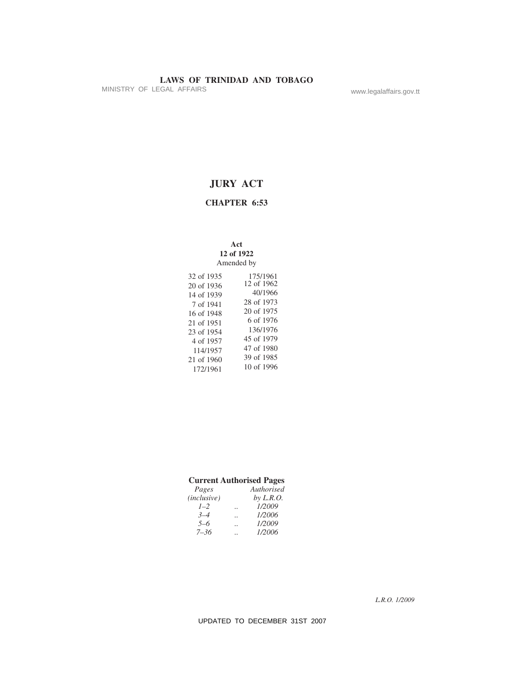MINISTRY OF LEGAL AFFAIRS www.legalaffairs.gov.tt

# **JURY ACT**

# **CHAPTER 6:53**

### **Act 12 of 1922** Amended by

| 32 of 1935 | 175/1961   |
|------------|------------|
|            |            |
| 20 of 1936 | 12 of 1962 |
| 14 of 1939 | 40/1966    |
| 7 of 1941  | 28 of 1973 |
| 16 of 1948 | 20 of 1975 |
| 21 of 1951 | 6 of 1976  |
| 23 of 1954 | 136/1976   |
|            |            |
| 4 of 1957  | 45 of 1979 |
| 114/1957   | 47 of 1980 |
| 21 of 1960 | 39 of 1985 |
|            |            |
| 172/1961   | 10 of 1996 |

| <b>Current Authorised Pages</b> |  |                  |  |
|---------------------------------|--|------------------|--|
| Pages                           |  | Authorised       |  |
| (inclusive)                     |  | <i>by L.R.O.</i> |  |
| $1 - 2$                         |  | 1/2009           |  |
| $3 - 4$                         |  | 1/2006           |  |
| $5 - 6$                         |  | 1/2009           |  |
| $7 - 36$                        |  | 1/2006           |  |

*L.R.O. 1/2009*

UPDATED TO DECEMBER 31ST 2007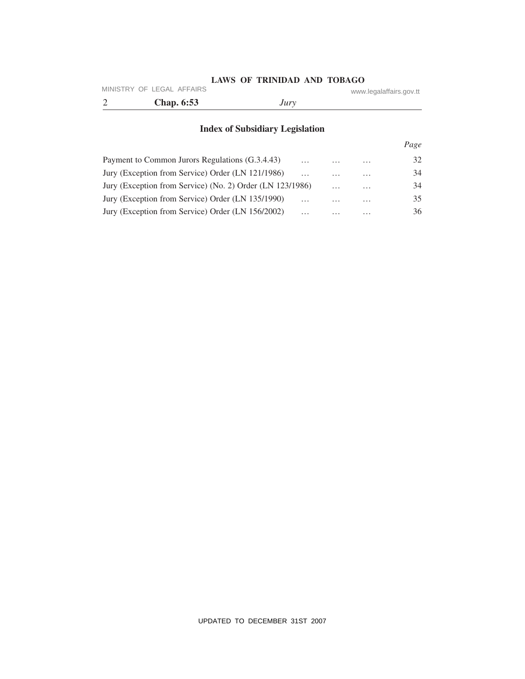### **LAWS OF TRINIDAD AND TOBAGO** MINISTRY OF LEGAL AFFAIRS www.legalaffairs.gov.tt

| <b>Chap.</b> 6:53 | Jury |  |
|-------------------|------|--|

# **Index of Subsidiary Legislation**

|                                                           |          |          |          | Page |
|-----------------------------------------------------------|----------|----------|----------|------|
| Payment to Common Jurors Regulations (G.3.4.43)           | $\cdots$ | $\cdots$ | $\cdots$ | 32   |
| Jury (Exception from Service) Order (LN 121/1986)         | $\cdots$ | $\cdots$ | $\cdots$ | 34   |
| Jury (Exception from Service) (No. 2) Order (LN 123/1986) |          | $\cdots$ | $\cdots$ | 34   |
| Jury (Exception from Service) Order (LN 135/1990)         | $\cdots$ | $\cdots$ | $\cdots$ | 35   |
| Jury (Exception from Service) Order (LN 156/2002)         | $\cdots$ | $\cdots$ | $\cdots$ | 36   |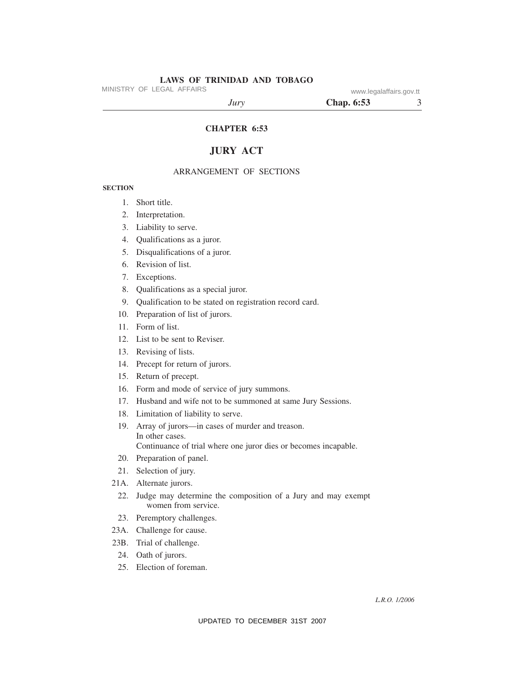MINISTRY OF LEGAL AFFAIRS www.legalaffairs.gov.tt

*Jury* **Chap. 6:53** 3

### **CHAPTER 6:53**

# **JURY ACT**

#### ARRANGEMENT OF SECTIONS

#### **SECTION**

- 1. Short title.
- 2. Interpretation.
- 3. Liability to serve.
- 4. Qualifications as a juror.
- 5. Disqualifications of a juror.
- 6. Revision of list.
- 7. Exceptions.
- 8. Qualifications as a special juror.
- 9. Qualification to be stated on registration record card.
- 10. Preparation of list of jurors.
- 11. Form of list.
- 12. List to be sent to Reviser.
- 13. Revising of lists.
- 14. Precept for return of jurors.
- 15. Return of precept.
- 16. Form and mode of service of jury summons.
- 17. Husband and wife not to be summoned at same Jury Sessions.
- 18. Limitation of liability to serve.
- 19. Array of jurors—in cases of murder and treason. In other cases. Continuance of trial where one juror dies or becomes incapable.
- 20. Preparation of panel.
- 21. Selection of jury.
- 21A. Alternate jurors.
	- 22. Judge may determine the composition of a Jury and may exempt women from service.
	- 23. Peremptory challenges.
- 23A. Challenge for cause.
- 23B. Trial of challenge.
- 24. Oath of jurors.
- 25. Election of foreman.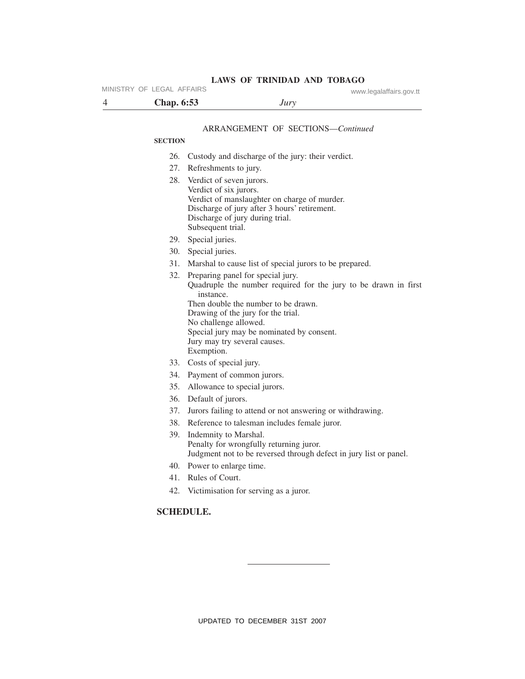| MINISTRY OF LEGAL AFFAIRS |                   | <b>LAWS OF TRINIDAD AND TOBAGO</b>                                                                                                                                                                                                              | www.legalaffairs.gov.tt                                           |
|---------------------------|-------------------|-------------------------------------------------------------------------------------------------------------------------------------------------------------------------------------------------------------------------------------------------|-------------------------------------------------------------------|
| 4                         | <b>Chap.</b> 6:53 | Jury                                                                                                                                                                                                                                            |                                                                   |
|                           |                   |                                                                                                                                                                                                                                                 |                                                                   |
|                           |                   | <b>ARRANGEMENT OF SECTIONS-Continued</b>                                                                                                                                                                                                        |                                                                   |
|                           | <b>SECTION</b>    |                                                                                                                                                                                                                                                 |                                                                   |
|                           | 26.               | Custody and discharge of the jury: their verdict.                                                                                                                                                                                               |                                                                   |
|                           | 27.               | Refreshments to jury.                                                                                                                                                                                                                           |                                                                   |
|                           | 28.               | Verdict of seven jurors.<br>Verdict of six jurors.<br>Verdict of manslaughter on charge of murder.<br>Discharge of jury after 3 hours' retirement.<br>Discharge of jury during trial.<br>Subsequent trial.                                      |                                                                   |
|                           | 29.               | Special juries.                                                                                                                                                                                                                                 |                                                                   |
|                           | 30.               | Special juries.                                                                                                                                                                                                                                 |                                                                   |
|                           | 31.               | Marshal to cause list of special jurors to be prepared.                                                                                                                                                                                         |                                                                   |
|                           | 32.               | Preparing panel for special jury.<br>instance.<br>Then double the number to be drawn.<br>Drawing of the jury for the trial.<br>No challenge allowed.<br>Special jury may be nominated by consent.<br>Jury may try several causes.<br>Exemption. | Quadruple the number required for the jury to be drawn in first   |
|                           |                   | 33. Costs of special jury.                                                                                                                                                                                                                      |                                                                   |
|                           | 34.               | Payment of common jurors.                                                                                                                                                                                                                       |                                                                   |
|                           | 35.               | Allowance to special jurors.                                                                                                                                                                                                                    |                                                                   |
|                           |                   | 36. Default of jurors.                                                                                                                                                                                                                          |                                                                   |
|                           | 37.               | Jurors failing to attend or not answering or withdrawing.                                                                                                                                                                                       |                                                                   |
|                           | 38.               | Reference to talesman includes female juror.                                                                                                                                                                                                    |                                                                   |
|                           | 39.               | Indemnity to Marshal.<br>Penalty for wrongfully returning juror.                                                                                                                                                                                | Judgment not to be reversed through defect in jury list or panel. |
|                           | 40.               | Power to enlarge time.                                                                                                                                                                                                                          |                                                                   |
|                           | 41.               | Rules of Court.                                                                                                                                                                                                                                 |                                                                   |
|                           |                   | 42. Victimisation for serving as a juror.                                                                                                                                                                                                       |                                                                   |
|                           | <b>SCHEDULE.</b>  |                                                                                                                                                                                                                                                 |                                                                   |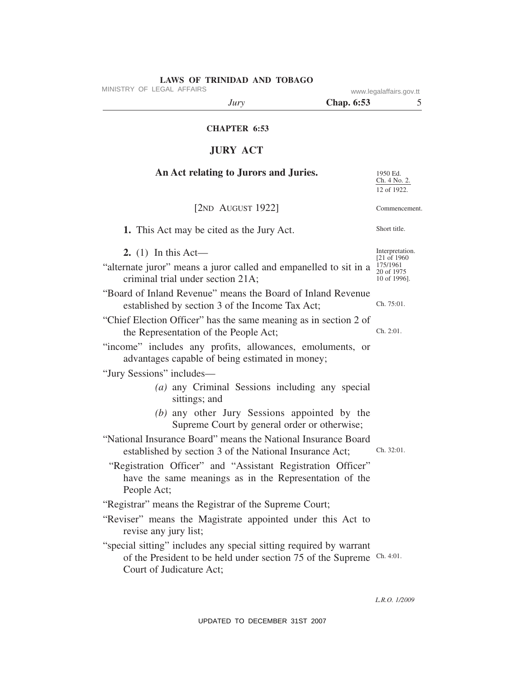| LAWS OF IKINIDAD AND IOBAGO<br>MINISTRY OF LEGAL AFFAIRS                                                                                                                                                                                                                                                         |                   | www.legalaffairs.gov.tt                                                   |
|------------------------------------------------------------------------------------------------------------------------------------------------------------------------------------------------------------------------------------------------------------------------------------------------------------------|-------------------|---------------------------------------------------------------------------|
| Jury                                                                                                                                                                                                                                                                                                             | <b>Chap. 6:53</b> | 5                                                                         |
| <b>CHAPTER 6:53</b>                                                                                                                                                                                                                                                                                              |                   |                                                                           |
| <b>JURY ACT</b>                                                                                                                                                                                                                                                                                                  |                   |                                                                           |
| An Act relating to Jurors and Juries.                                                                                                                                                                                                                                                                            |                   | 1950 Ed.<br>Ch. 4 No. 2.<br>12 of 1922.                                   |
| [ $2ND$ AUGUST 1922]                                                                                                                                                                                                                                                                                             |                   | Commencement.                                                             |
| 1. This Act may be cited as the Jury Act.                                                                                                                                                                                                                                                                        |                   | Short title.                                                              |
| 2. (1) In this Act—<br>"alternate juror" means a juror called and empanelled to sit in a<br>criminal trial under section 21A;                                                                                                                                                                                    |                   | Interpretation.<br>[21 of 1960]<br>175/1961<br>20 of 1975<br>10 of 1996]. |
| "Board of Inland Revenue" means the Board of Inland Revenue<br>established by section 3 of the Income Tax Act;                                                                                                                                                                                                   |                   | Ch. 75:01.                                                                |
| "Chief Election Officer" has the same meaning as in section 2 of<br>the Representation of the People Act;                                                                                                                                                                                                        |                   | Ch. 2:01.                                                                 |
| "income" includes any profits, allowances, emoluments, or<br>advantages capable of being estimated in money;                                                                                                                                                                                                     |                   |                                                                           |
| "Jury Sessions" includes—<br>(a) any Criminal Sessions including any special<br>sittings; and<br>(b) any other Jury Sessions appointed by the                                                                                                                                                                    |                   |                                                                           |
| Supreme Court by general order or otherwise;<br>"National Insurance Board" means the National Insurance Board<br>established by section 3 of the National Insurance Act;<br>"Registration Officer" and "Assistant Registration Officer"<br>have the same meanings as in the Representation of the<br>People Act; |                   | Ch. 32:01.                                                                |
| "Registrar" means the Registrar of the Supreme Court;<br>"Reviser" means the Magistrate appointed under this Act to<br>revise any jury list;                                                                                                                                                                     |                   |                                                                           |
| "special sitting" includes any special sitting required by warrant<br>of the President to be held under section 75 of the Supreme<br>Court of Judicature Act;                                                                                                                                                    |                   | Ch. 4:01.                                                                 |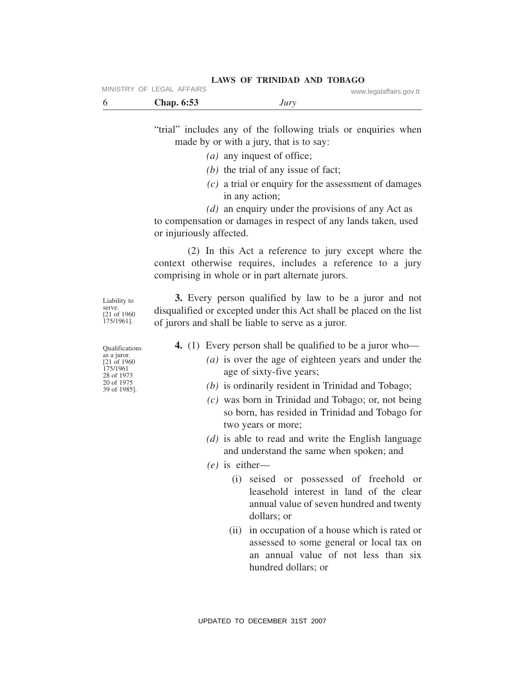|                           |  | LAWS OF TRINIDAD AND TOBAGO |  |                         |
|---------------------------|--|-----------------------------|--|-------------------------|
| MINISTRY OF LEGAL AFFAIRS |  |                             |  | www.legalaffairs.gov.tt |

| <b>Chap.</b> 6:53 | Jury |  |
|-------------------|------|--|

"trial" includes any of the following trials or enquiries when made by or with a jury, that is to say:

- *(a)* any inquest of office;
- *(b)* the trial of any issue of fact;
- *(c)* a trial or enquiry for the assessment of damages in any action;
- *(d)* an enquiry under the provisions of any Act as

to compensation or damages in respect of any lands taken, used or injuriously affected.

(2) In this Act a reference to jury except where the context otherwise requires, includes a reference to a jury comprising in whole or in part alternate jurors.

**3.** Every person qualified by law to be a juror and not disqualified or excepted under this Act shall be placed on the list of jurors and shall be liable to serve as a juror.

**4.** (1) Every person shall be qualified to be a juror who—

- *(a)* is over the age of eighteen years and under the age of sixty-five years;
- *(b)* is ordinarily resident in Trinidad and Tobago;
- *(c)* was born in Trinidad and Tobago; or, not being so born, has resided in Trinidad and Tobago for two years or more;
- *(d)* is able to read and write the English language and understand the same when spoken; and
- *(e)* is either—
	- (i) seised or possessed of freehold or leasehold interest in land of the clear annual value of seven hundred and twenty dollars; or
	- (ii) in occupation of a house which is rated or assessed to some general or local tax on an annual value of not less than six hundred dollars; or

Qualifications as a juror. [21 of 1960 175/1961 28 of 1973 20 of 1975 39 of 1985].

UPDATED TO DECEMBER 31ST 2007

serve. [21 of 1960 175/1961].

Liability to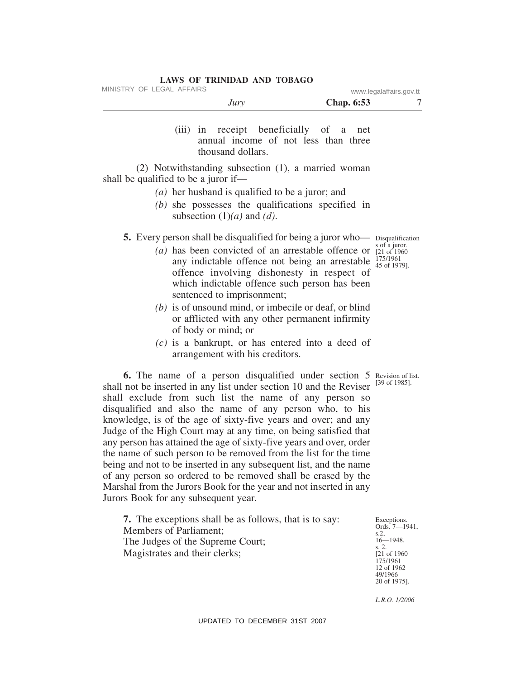MINISTRY OF LEGAL AFFAIRS www.legalaffairs.gov.tt

|                                      | Jury                                                     | Chap. 6:53                                                                                                                                                                                                                                                                 | 7                                                                             |
|--------------------------------------|----------------------------------------------------------|----------------------------------------------------------------------------------------------------------------------------------------------------------------------------------------------------------------------------------------------------------------------------|-------------------------------------------------------------------------------|
|                                      | thousand dollars.                                        | (iii) in receipt beneficially of a net<br>annual income of not less than three                                                                                                                                                                                             |                                                                               |
| shall be qualified to be a juror if— | ( <i>a</i> ) her husband is qualified to be a juror; and | (2) Notwithstanding subsection (1), a married woman                                                                                                                                                                                                                        |                                                                               |
|                                      | subsection $(1)(a)$ and $(d)$ .                          | $(b)$ she possesses the qualifications specified in                                                                                                                                                                                                                        |                                                                               |
|                                      | sentenced to imprisonment;                               | <b>5.</b> Every person shall be disqualified for being a juror who-<br>(a) has been convicted of an arrestable offence or<br>any indictable offence not being an arrestable<br>offence involving dishonesty in respect of<br>which indictable offence such person has been | Disqualification<br>s of a juror.<br>[21 of 1960]<br>175/1961<br>45 of 1979]. |
|                                      | of body or mind; or                                      | $(b)$ is of unsound mind, or imbecile or deaf, or blind<br>or afflicted with any other permanent infirmity                                                                                                                                                                 |                                                                               |

*(c)* is a bankrupt, or has entered into a deed of arrangement with his creditors.

**6.** The name of a person disqualified under section 5 Revision of list. [39 of 1985]. shall not be inserted in any list under section 10 and the Reviser shall exclude from such list the name of any person so disqualified and also the name of any person who, to his knowledge, is of the age of sixty-five years and over; and any Judge of the High Court may at any time, on being satisfied that any person has attained the age of sixty-five years and over, order the name of such person to be removed from the list for the time being and not to be inserted in any subsequent list, and the name of any person so ordered to be removed shall be erased by the Marshal from the Jurors Book for the year and not inserted in any Jurors Book for any subsequent year.

**7.** The exceptions shall be as follows, that is to say: Members of Parliament; The Judges of the Supreme Court; Magistrates and their clerks;

Exceptions. Ords. 7—1941, s.2, 16—1948, s. 2. [21 of 1960 175/1961 12 of 1962 49/1966 20 of 1975].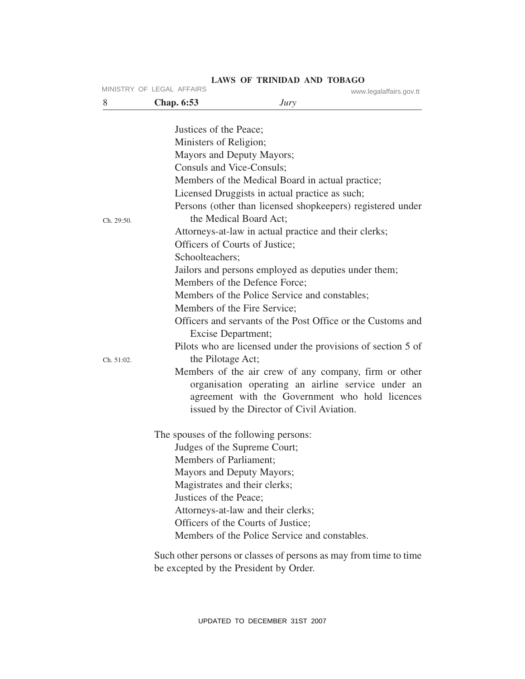|            | MINISTRY OF LEGAL AFFAIRS              |                                                                   | www.legalaffairs.gov.tt |
|------------|----------------------------------------|-------------------------------------------------------------------|-------------------------|
| 8          | <b>Chap.</b> 6:53                      | Jury                                                              |                         |
|            |                                        |                                                                   |                         |
|            | Justices of the Peace;                 |                                                                   |                         |
|            | Ministers of Religion;                 |                                                                   |                         |
|            | Mayors and Deputy Mayors;              |                                                                   |                         |
|            | Consuls and Vice-Consuls;              |                                                                   |                         |
|            |                                        | Members of the Medical Board in actual practice;                  |                         |
|            |                                        | Licensed Druggists in actual practice as such;                    |                         |
|            |                                        | Persons (other than licensed shopkeepers) registered under        |                         |
| Ch. 29:50. | the Medical Board Act;                 |                                                                   |                         |
|            |                                        | Attorneys-at-law in actual practice and their clerks;             |                         |
|            | Officers of Courts of Justice;         |                                                                   |                         |
|            | Schoolteachers;                        |                                                                   |                         |
|            |                                        | Jailors and persons employed as deputies under them;              |                         |
|            | Members of the Defence Force;          |                                                                   |                         |
|            |                                        | Members of the Police Service and constables;                     |                         |
|            | Members of the Fire Service;           |                                                                   |                         |
|            |                                        | Officers and servants of the Post Office or the Customs and       |                         |
|            | Excise Department;                     |                                                                   |                         |
|            |                                        | Pilots who are licensed under the provisions of section 5 of      |                         |
| Ch. 51:02. | the Pilotage Act;                      |                                                                   |                         |
|            |                                        | Members of the air crew of any company, firm or other             |                         |
|            |                                        | organisation operating an airline service under an                |                         |
|            |                                        | agreement with the Government who hold licences                   |                         |
|            |                                        | issued by the Director of Civil Aviation.                         |                         |
|            | The spouses of the following persons:  |                                                                   |                         |
|            | Judges of the Supreme Court;           |                                                                   |                         |
|            | Members of Parliament;                 |                                                                   |                         |
|            | Mayors and Deputy Mayors;              |                                                                   |                         |
|            | Magistrates and their clerks;          |                                                                   |                         |
|            | Justices of the Peace;                 |                                                                   |                         |
|            | Attorneys-at-law and their clerks;     |                                                                   |                         |
|            | Officers of the Courts of Justice;     |                                                                   |                         |
|            |                                        | Members of the Police Service and constables.                     |                         |
|            |                                        | Such other persons or classes of persons as may from time to time |                         |
|            | be excepted by the President by Order. |                                                                   |                         |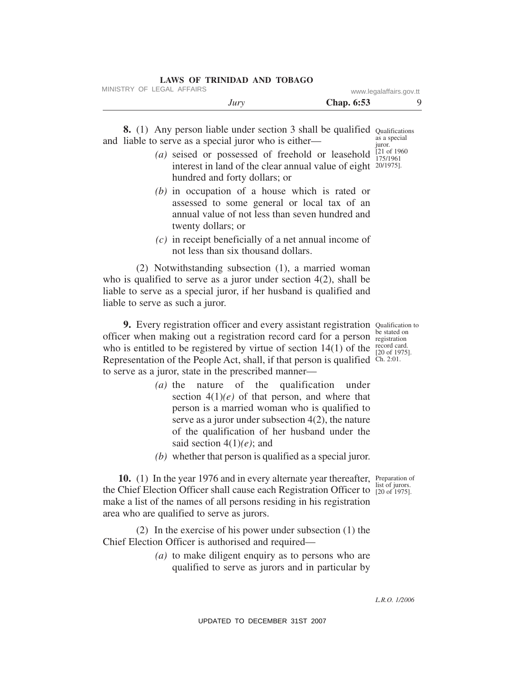| Jury                      | <b>Chap.</b> 6:53       |  |
|---------------------------|-------------------------|--|
| MINISTRY OF LEGAL AFFAIRS | www.legalaffairs.gov.tt |  |

**8.** (1) Any person liable under section 3 shall be qualified Qualifications as a special

and liable to serve as a special juror who is either— *(a)* seised or possessed of freehold or leasehold interest in land of the clear annual value of eight 20/1975]. hundred and forty dollars; or juror. [21 of 1960 175/1961

- *(b)* in occupation of a house which is rated or assessed to some general or local tax of an annual value of not less than seven hundred and twenty dollars; or
- *(c)* in receipt beneficially of a net annual income of not less than six thousand dollars.

(2) Notwithstanding subsection (1), a married woman who is qualified to serve as a juror under section 4(2), shall be liable to serve as a special juror, if her husband is qualified and liable to serve as such a juror.

9. Every registration officer and every assistant registration Qualification to officer when making out a registration record card for a person be stated on who is entitled to be registered by virtue of section 14(1) of the record card. Representation of the People Act, shall, if that person is qualified Ch. 2:01. to serve as a juror, state in the prescribed manner—

- *(a)* the nature of the qualification under section  $4(1)(e)$  of that person, and where that person is a married woman who is qualified to serve as a juror under subsection 4(2), the nature of the qualification of her husband under the said section 4(1)*(e)*; and
- *(b)* whether that person is qualified as a special juror.

10. (1) In the year 1976 and in every alternate year thereafter, Preparation of the Chief Election Officer shall cause each Registration Officer to  $\frac{1}{20}$  of 1975]. make a list of the names of all persons residing in his registration area who are qualified to serve as jurors. list of jurors.

(2) In the exercise of his power under subsection (1) the Chief Election Officer is authorised and required—

> *(a)* to make diligent enquiry as to persons who are qualified to serve as jurors and in particular by

> > *L.R.O. 1/2006*

UPDATED TO DECEMBER 31ST 2007

registration [20 of 1975].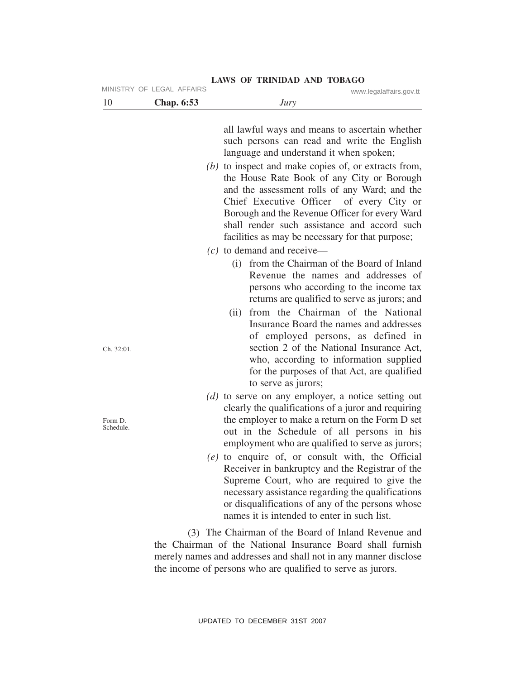| 10                   | <b>Chap. 6:53</b> | www.legalaffairs.gov.tt<br>Jury                                                                                                                                                                                                                                                                                                                                                                                                                                             |
|----------------------|-------------------|-----------------------------------------------------------------------------------------------------------------------------------------------------------------------------------------------------------------------------------------------------------------------------------------------------------------------------------------------------------------------------------------------------------------------------------------------------------------------------|
|                      |                   | all lawful ways and means to ascertain whether<br>such persons can read and write the English<br>language and understand it when spoken;                                                                                                                                                                                                                                                                                                                                    |
|                      |                   | $(b)$ to inspect and make copies of, or extracts from,<br>the House Rate Book of any City or Borough<br>and the assessment rolls of any Ward; and the<br>Chief Executive Officer<br>of every City or<br>Borough and the Revenue Officer for every Ward<br>shall render such assistance and accord such<br>facilities as may be necessary for that purpose;                                                                                                                  |
|                      |                   | $(c)$ to demand and receive—                                                                                                                                                                                                                                                                                                                                                                                                                                                |
| Ch. 32:01.           |                   | from the Chairman of the Board of Inland<br>(i)<br>Revenue the names and addresses of<br>persons who according to the income tax<br>returns are qualified to serve as jurors; and<br>from the Chairman of the National<br>(ii)<br>Insurance Board the names and addresses<br>of employed persons, as defined in<br>section 2 of the National Insurance Act,<br>who, according to information supplied<br>for the purposes of that Act, are qualified<br>to serve as jurors; |
| Form D.<br>Schedule. |                   | (d) to serve on any employer, a notice setting out<br>clearly the qualifications of a juror and requiring<br>the employer to make a return on the Form D set<br>out in the Schedule of all persons in his<br>employment who are qualified to serve as jurors;                                                                                                                                                                                                               |
|                      |                   | $(e)$ to enquire of, or consult with, the Official<br>Receiver in bankruptcy and the Registrar of the<br>Supreme Court, who are required to give the<br>necessary assistance regarding the qualifications<br>or disqualifications of any of the persons whose<br>names it is intended to enter in such list.                                                                                                                                                                |
|                      |                   | (3) The Chairman of the Board of Inland Revenue and<br>the Chairman of the National Insurance Board shall furnish<br>merely names and addresses and shall not in any manner disclose                                                                                                                                                                                                                                                                                        |

the income of persons who are qualified to serve as jurors.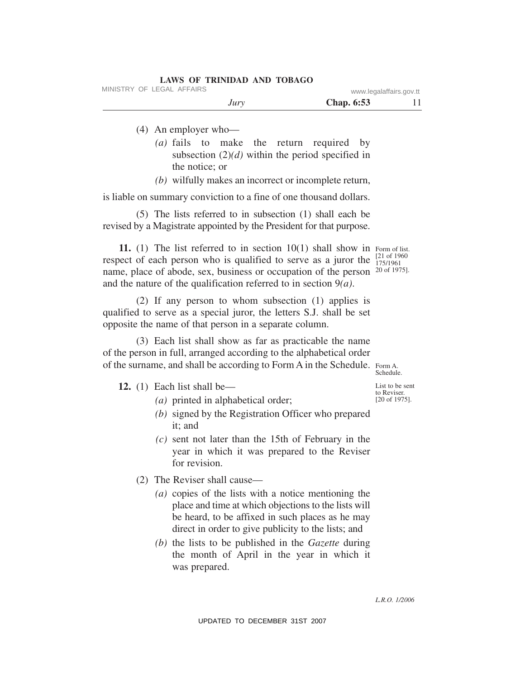MINISTRY OF LEGAL AFFAIRS www.legalaffairs.gov.tt

*Jury* **Chap. 6:53** 11

- (4) An employer who—
	- *(a)* fails to make the return required by subsection (2)*(d)* within the period specified in the notice; or
	- *(b)* wilfully makes an incorrect or incomplete return,

is liable on summary conviction to a fine of one thousand dollars.

(5) The lists referred to in subsection (1) shall each be revised by a Magistrate appointed by the President for that purpose.

11. (1) The list referred to in section 10(1) shall show in Form of list. respect of each person who is qualified to serve as a juror the  $\frac{[21 \text{ of } 1960]}{175/1961}$ name, place of abode, sex, business or occupation of the person <sup>20 of 1975].</sup> and the nature of the qualification referred to in section 9*(a)*. 175/1961

(2) If any person to whom subsection (1) applies is qualified to serve as a special juror, the letters S.J. shall be set opposite the name of that person in a separate column.

(3) Each list shall show as far as practicable the name of the person in full, arranged according to the alphabetical order of the surname, and shall be according to Form A in the Schedule. Form A.

**12.** (1) Each list shall be—

- *(a)* printed in alphabetical order;
- *(b)* signed by the Registration Officer who prepared it; and
- *(c)* sent not later than the 15th of February in the year in which it was prepared to the Reviser for revision.
- (2) The Reviser shall cause—
	- *(a)* copies of the lists with a notice mentioning the place and time at which objections to the lists will be heard, to be affixed in such places as he may direct in order to give publicity to the lists; and
	- *(b)* the lists to be published in the *Gazette* during the month of April in the year in which it was prepared.

List to be sent to Reviser. [20 of 1975].

Schedule.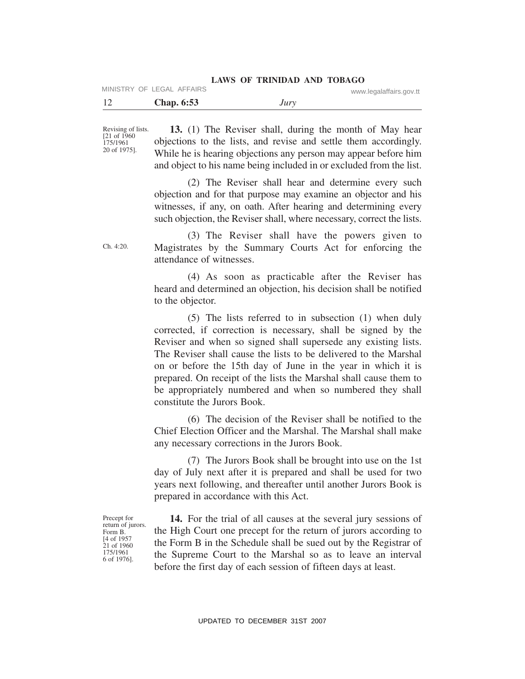MINISTRY OF LEGAL AFFAIRS www.legalaffairs.gov.tt

| -12 | <b>Chap.</b> 6:53 | Jury |  |
|-----|-------------------|------|--|
|-----|-------------------|------|--|

Revising of lists. [21 of 1960 175/1961 20 of 1975].

**13.** (1) The Reviser shall, during the month of May hear objections to the lists, and revise and settle them accordingly. While he is hearing objections any person may appear before him and object to his name being included in or excluded from the list.

(2) The Reviser shall hear and determine every such objection and for that purpose may examine an objector and his witnesses, if any, on oath. After hearing and determining every such objection, the Reviser shall, where necessary, correct the lists.

(3) The Reviser shall have the powers given to Magistrates by the Summary Courts Act for enforcing the attendance of witnesses.

(4) As soon as practicable after the Reviser has heard and determined an objection, his decision shall be notified to the objector.

(5) The lists referred to in subsection (1) when duly corrected, if correction is necessary, shall be signed by the Reviser and when so signed shall supersede any existing lists. The Reviser shall cause the lists to be delivered to the Marshal on or before the 15th day of June in the year in which it is prepared. On receipt of the lists the Marshal shall cause them to be appropriately numbered and when so numbered they shall constitute the Jurors Book.

(6) The decision of the Reviser shall be notified to the Chief Election Officer and the Marshal. The Marshal shall make any necessary corrections in the Jurors Book.

(7) The Jurors Book shall be brought into use on the 1st day of July next after it is prepared and shall be used for two years next following, and thereafter until another Jurors Book is prepared in accordance with this Act.

Precept for return of jurors. Form B. [4 of 1957 21 of 1960 175/1961 6 of 1976].

**14.** For the trial of all causes at the several jury sessions of the High Court one precept for the return of jurors according to the Form B in the Schedule shall be sued out by the Registrar of the Supreme Court to the Marshal so as to leave an interval before the first day of each session of fifteen days at least.

Ch. 4:20.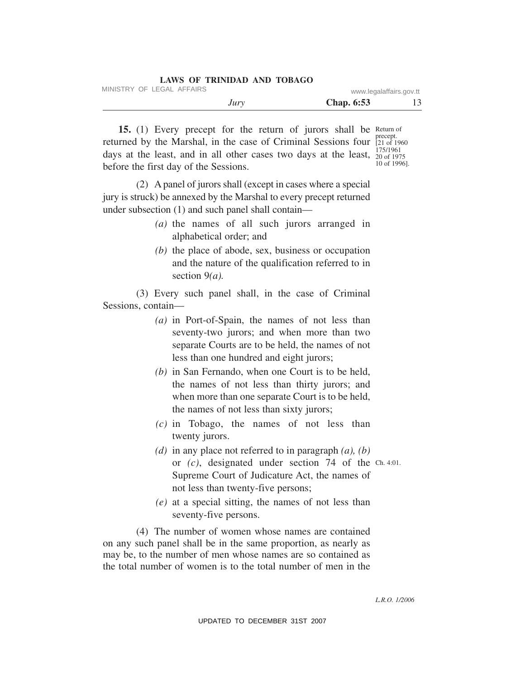| LAWS OF TRINIDAD AND TOBAGO |                         |    |
|-----------------------------|-------------------------|----|
| MINISTRY OF LEGAL AFFAIRS   | www.legalaffairs.gov.tt |    |
| Jury                        | <b>Chap.</b> 6:53       | 13 |

15. (1) Every precept for the return of jurors shall be Return of returned by the Marshal, in the case of Criminal Sessions four  $_{[21 \text{ of } 1]}^{\text{precept}}$ days at the least, and in all other cases two days at the least,  $\frac{175/1961}{20 \text{ of } 197}$ before the first day of the Sessions. [21 of 1960 20 of 1975 10 of 1996].

(2) A panel of jurors shall (except in cases where a special jury is struck) be annexed by the Marshal to every precept returned under subsection (1) and such panel shall contain—

- *(a)* the names of all such jurors arranged in alphabetical order; and
- *(b)* the place of abode, sex, business or occupation and the nature of the qualification referred to in section 9*(a).*

(3) Every such panel shall, in the case of Criminal Sessions, contain—

- *(a)* in Port-of-Spain, the names of not less than seventy-two jurors; and when more than two separate Courts are to be held, the names of not less than one hundred and eight jurors;
- *(b)* in San Fernando, when one Court is to be held, the names of not less than thirty jurors; and when more than one separate Court is to be held, the names of not less than sixty jurors;
- *(c)* in Tobago, the names of not less than twenty jurors.
- *(d)* in any place not referred to in paragraph *(a), (b)* or *(c)*, designated under section 74 of the Ch. 4:01. Supreme Court of Judicature Act, the names of not less than twenty-five persons;
- *(e)* at a special sitting, the names of not less than seventy-five persons.

(4) The number of women whose names are contained on any such panel shall be in the same proportion, as nearly as may be, to the number of men whose names are so contained as the total number of women is to the total number of men in the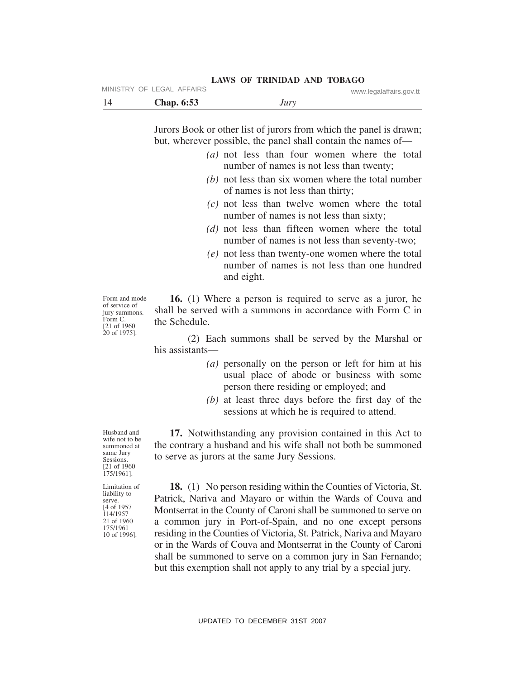| - 14 | <b>Chap. 6:53</b> | Jury |  |
|------|-------------------|------|--|

Jurors Book or other list of jurors from which the panel is drawn; but, wherever possible, the panel shall contain the names of—

- *(a)* not less than four women where the total number of names is not less than twenty;
- *(b)* not less than six women where the total number of names is not less than thirty;
- *(c)* not less than twelve women where the total number of names is not less than sixty;
- *(d)* not less than fifteen women where the total number of names is not less than seventy-two;
- *(e)* not less than twenty-one women where the total number of names is not less than one hundred and eight.

Form and mode of service of jury summons. Form C. [21 of 1960 20 of 1975].

**16.** (1) Where a person is required to serve as a juror, he shall be served with a summons in accordance with Form C in the Schedule.

(2) Each summons shall be served by the Marshal or his assistants—

- *(a)* personally on the person or left for him at his usual place of abode or business with some person there residing or employed; and
- *(b)* at least three days before the first day of the sessions at which he is required to attend.

**17.** Notwithstanding any provision contained in this Act to the contrary a husband and his wife shall not both be summoned to serve as jurors at the same Jury Sessions.

**18.** (1) No person residing within the Counties of Victoria, St. Patrick, Nariva and Mayaro or within the Wards of Couva and Montserrat in the County of Caroni shall be summoned to serve on a common jury in Port-of-Spain, and no one except persons residing in the Counties of Victoria, St. Patrick, Nariva and Mayaro or in the Wards of Couva and Montserrat in the County of Caroni shall be summoned to serve on a common jury in San Fernando; but this exemption shall not apply to any trial by a special jury.

Husband and wife not to be summoned at same Jury Sessions. [21 of 1960 175/1961].

Limitation of liability to serve. [4 of 1957 114/1957 21 of 1960 175/1961 10 of 1996].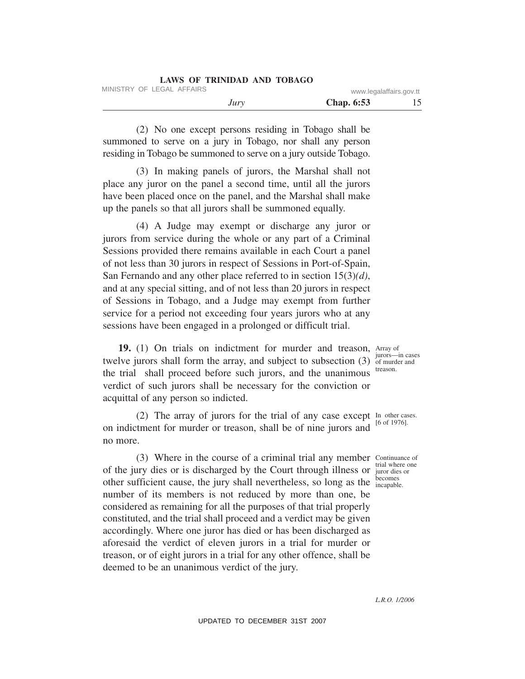| LAWS OF TRINIDAD AND TOBAGO |      |                   |                         |
|-----------------------------|------|-------------------|-------------------------|
| MINISTRY OF LEGAL AFFAIRS   |      |                   | www.legalaffairs.gov.tt |
|                             | Jury | <b>Chap.</b> 6:53 |                         |

(2) No one except persons residing in Tobago shall be summoned to serve on a jury in Tobago, nor shall any person residing in Tobago be summoned to serve on a jury outside Tobago.

(3) In making panels of jurors, the Marshal shall not place any juror on the panel a second time, until all the jurors have been placed once on the panel, and the Marshal shall make up the panels so that all jurors shall be summoned equally.

(4) A Judge may exempt or discharge any juror or jurors from service during the whole or any part of a Criminal Sessions provided there remains available in each Court a panel of not less than 30 jurors in respect of Sessions in Port-of-Spain, San Fernando and any other place referred to in section 15(3)*(d)*, and at any special sitting, and of not less than 20 jurors in respect of Sessions in Tobago, and a Judge may exempt from further service for a period not exceeding four years jurors who at any sessions have been engaged in a prolonged or difficult trial.

19. (1) On trials on indictment for murder and treason, Array of twelve jurors shall form the array, and subject to subsection  $(3)$  of murder and the trial shall proceed before such jurors, and the unanimous verdict of such jurors shall be necessary for the conviction or acquittal of any person so indicted.

(2) The array of jurors for the trial of any case except In other cases. on indictment for murder or treason, shall be of nine jurors and no more.

(3) Where in the course of a criminal trial any member Continuance of of the jury dies or is discharged by the Court through illness or juror dies or other sufficient cause, the jury shall nevertheless, so long as the becomes number of its members is not reduced by more than one, be considered as remaining for all the purposes of that trial properly constituted, and the trial shall proceed and a verdict may be given accordingly. Where one juror has died or has been discharged as aforesaid the verdict of eleven jurors in a trial for murder or treason, or of eight jurors in a trial for any other offence, shall be deemed to be an unanimous verdict of the jury.

jurors—in cases treason.

[6 of 1976].

juror dies or incapable.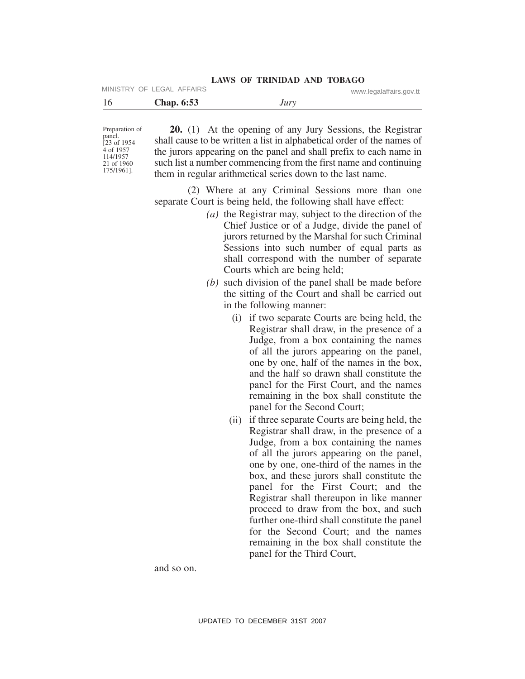| <b>LAWS OF TRINIDAD AND TOBAGO</b> |  |  |  |
|------------------------------------|--|--|--|
|------------------------------------|--|--|--|

MINISTRY OF LEGAL AFFAIRS www.legalaffairs.gov.tt

| 16 | <b>Chap.</b> 6:53 | Jury |
|----|-------------------|------|
|    |                   |      |

Preparation of panel.  $[23 \text{ of } 1954]$ 4 of 1957 114/1957 21 of 1960 175/1961].

**20.** (1) At the opening of any Jury Sessions, the Registrar shall cause to be written a list in alphabetical order of the names of the jurors appearing on the panel and shall prefix to each name in such list a number commencing from the first name and continuing them in regular arithmetical series down to the last name.

(2) Where at any Criminal Sessions more than one separate Court is being held, the following shall have effect:

- *(a)* the Registrar may, subject to the direction of the Chief Justice or of a Judge, divide the panel of jurors returned by the Marshal for such Criminal Sessions into such number of equal parts as shall correspond with the number of separate Courts which are being held;
- *(b)* such division of the panel shall be made before the sitting of the Court and shall be carried out in the following manner:
	- (i) if two separate Courts are being held, the Registrar shall draw, in the presence of a Judge, from a box containing the names of all the jurors appearing on the panel, one by one, half of the names in the box, and the half so drawn shall constitute the panel for the First Court, and the names remaining in the box shall constitute the panel for the Second Court;
	- (ii) if three separate Courts are being held, the Registrar shall draw, in the presence of a Judge, from a box containing the names of all the jurors appearing on the panel, one by one, one-third of the names in the box, and these jurors shall constitute the panel for the First Court; and the Registrar shall thereupon in like manner proceed to draw from the box, and such further one-third shall constitute the panel for the Second Court; and the names remaining in the box shall constitute the panel for the Third Court,

and so on.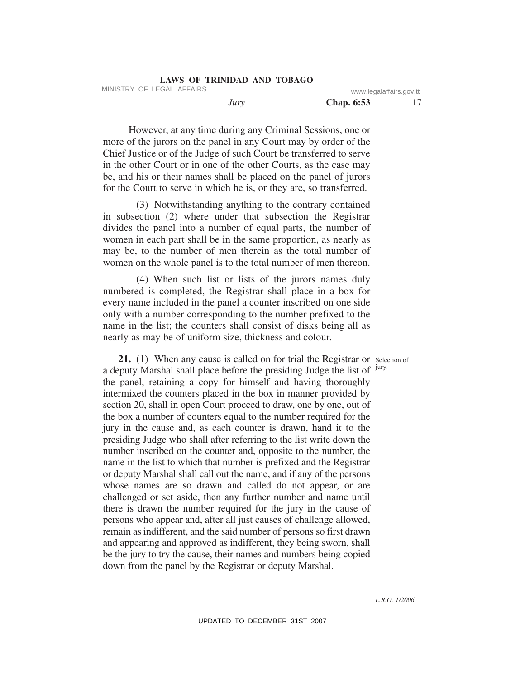| LAWS OF TRINIDAD AND TOBAGO |                         |  |
|-----------------------------|-------------------------|--|
| MINISTRY OF LEGAL AFFAIRS   | www.legalaffairs.gov.tt |  |
| Jury                        | <b>Chap.</b> 6:53       |  |

However, at any time during any Criminal Sessions, one or more of the jurors on the panel in any Court may by order of the Chief Justice or of the Judge of such Court be transferred to serve in the other Court or in one of the other Courts, as the case may be, and his or their names shall be placed on the panel of jurors for the Court to serve in which he is, or they are, so transferred.

(3) Notwithstanding anything to the contrary contained in subsection (2) where under that subsection the Registrar divides the panel into a number of equal parts, the number of women in each part shall be in the same proportion, as nearly as may be, to the number of men therein as the total number of women on the whole panel is to the total number of men thereon.

(4) When such list or lists of the jurors names duly numbered is completed, the Registrar shall place in a box for every name included in the panel a counter inscribed on one side only with a number corresponding to the number prefixed to the name in the list; the counters shall consist of disks being all as nearly as may be of uniform size, thickness and colour.

21. (1) When any cause is called on for trial the Registrar or Selection of a deputy Marshal shall place before the presiding Judge the list of <sup>jury.</sup> the panel, retaining a copy for himself and having thoroughly intermixed the counters placed in the box in manner provided by section 20, shall in open Court proceed to draw, one by one, out of the box a number of counters equal to the number required for the jury in the cause and, as each counter is drawn, hand it to the presiding Judge who shall after referring to the list write down the number inscribed on the counter and, opposite to the number, the name in the list to which that number is prefixed and the Registrar or deputy Marshal shall call out the name, and if any of the persons whose names are so drawn and called do not appear, or are challenged or set aside, then any further number and name until there is drawn the number required for the jury in the cause of persons who appear and, after all just causes of challenge allowed, remain as indifferent, and the said number of persons so first drawn and appearing and approved as indifferent, they being sworn, shall be the jury to try the cause, their names and numbers being copied down from the panel by the Registrar or deputy Marshal.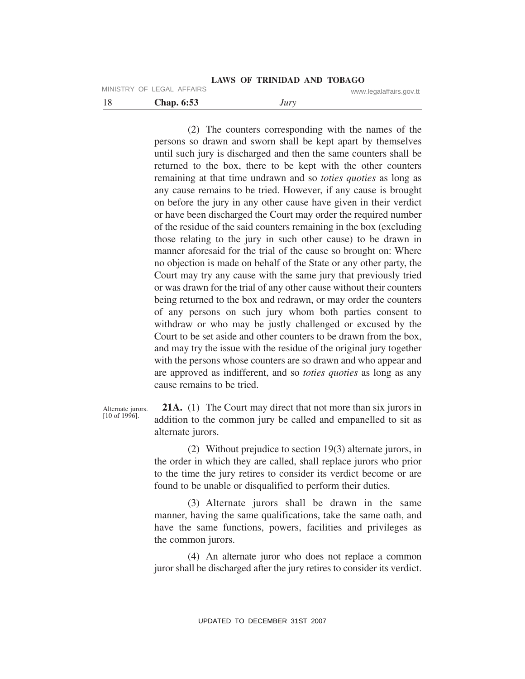18 **Chap. 6:53** *Jury* MINISTRY OF LEGAL AFFAIRS www.legalaffairs.gov.tt

> (2) The counters corresponding with the names of the persons so drawn and sworn shall be kept apart by themselves until such jury is discharged and then the same counters shall be returned to the box, there to be kept with the other counters remaining at that time undrawn and so *toties quoties* as long as any cause remains to be tried. However, if any cause is brought on before the jury in any other cause have given in their verdict or have been discharged the Court may order the required number of the residue of the said counters remaining in the box (excluding those relating to the jury in such other cause) to be drawn in manner aforesaid for the trial of the cause so brought on: Where no objection is made on behalf of the State or any other party, the Court may try any cause with the same jury that previously tried or was drawn for the trial of any other cause without their counters being returned to the box and redrawn, or may order the counters of any persons on such jury whom both parties consent to withdraw or who may be justly challenged or excused by the Court to be set aside and other counters to be drawn from the box, and may try the issue with the residue of the original jury together with the persons whose counters are so drawn and who appear and are approved as indifferent, and so *toties quoties* as long as any cause remains to be tried.

Alternate jurors. [10 of 1996].

**21A.** (1) The Court may direct that not more than six jurors in addition to the common jury be called and empanelled to sit as alternate jurors.

(2) Without prejudice to section 19(3) alternate jurors, in the order in which they are called, shall replace jurors who prior to the time the jury retires to consider its verdict become or are found to be unable or disqualified to perform their duties.

(3) Alternate jurors shall be drawn in the same manner, having the same qualifications, take the same oath, and have the same functions, powers, facilities and privileges as the common jurors.

(4) An alternate juror who does not replace a common juror shall be discharged after the jury retires to consider its verdict.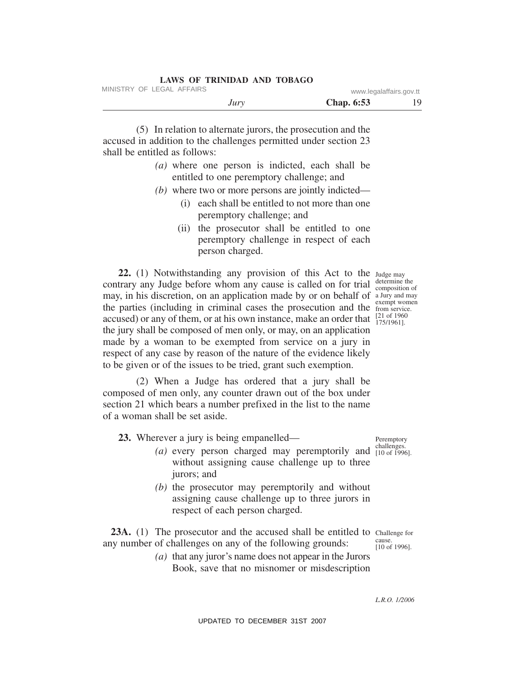|  | LAWS OF TRINIDAD AND TOBAGO |  |  |
|--|-----------------------------|--|--|
|  |                             |  |  |

| Jury | . .<br><b>Chap. 6:53</b> | ◡ |  |
|------|--------------------------|---|--|
|      |                          |   |  |

(5) In relation to alternate jurors, the prosecution and the accused in addition to the challenges permitted under section 23 shall be entitled as follows:

- *(a)* where one person is indicted, each shall be entitled to one peremptory challenge; and
- *(b)* where two or more persons are jointly indicted—
	- (i) each shall be entitled to not more than one peremptory challenge; and
	- (ii) the prosecutor shall be entitled to one peremptory challenge in respect of each person charged.

**22.** (1) Notwithstanding any provision of this Act to the contrary any Judge before whom any cause is called on for trial may, in his discretion, on an application made by or on behalf of a Jury and may the parties (including in criminal cases the prosecution and the **exempt women** accused) or any of them, or at his own instance, make an order that  $\frac{[21 \text{ of } 1960]}{175/19611}$ the jury shall be composed of men only, or may, on an application made by a woman to be exempted from service on a jury in respect of any case by reason of the nature of the evidence likely to be given or of the issues to be tried, grant such exemption.

(2) When a Judge has ordered that a jury shall be composed of men only, any counter drawn out of the box under section 21 which bears a number prefixed in the list to the name of a woman shall be set aside.

**23.** Wherever a jury is being empanelled—

- $(a)$  every person charged may peremptorily and  $_{[10 \text{ of } 1996)}^{challenges.}$ without assigning cause challenge up to three jurors; and
- *(b)* the prosecutor may peremptorily and without assigning cause challenge up to three jurors in respect of each person charged.

23A. (1) The prosecutor and the accused shall be entitled to Challenge for any number of challenges on any of the following grounds: cause.

> *(a)* that any juror's name does not appear in the Jurors Book, save that no misnomer or misdescription

Peremptory

[10 of 1996].

[10 of 1996].

*L.R.O. 1/2006*

UPDATED TO DECEMBER 31ST 2007

Judge may determine the composition of from service. 175/1961].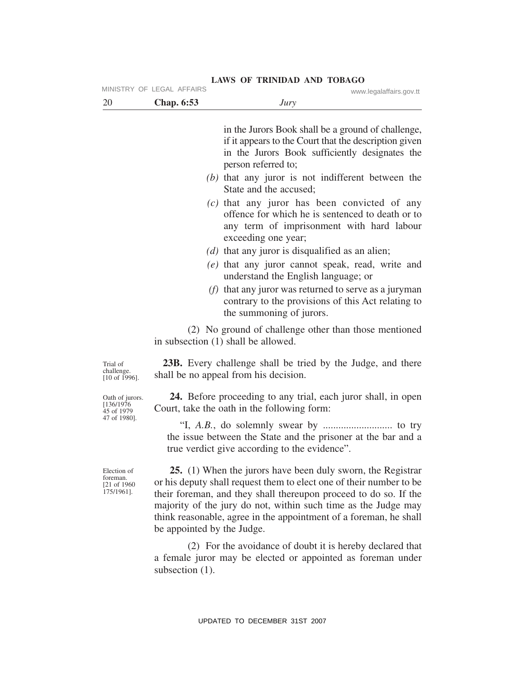|                                                       | MINISTRY OF LEGAL AFFAIRS           |                                                                                        | www.legalaffairs.gov.tt                                                                                                                                                                                                                                                                                                                       |
|-------------------------------------------------------|-------------------------------------|----------------------------------------------------------------------------------------|-----------------------------------------------------------------------------------------------------------------------------------------------------------------------------------------------------------------------------------------------------------------------------------------------------------------------------------------------|
| 20                                                    | <b>Chap. 6:53</b>                   | Jury                                                                                   |                                                                                                                                                                                                                                                                                                                                               |
|                                                       |                                     | person referred to;                                                                    | in the Jurors Book shall be a ground of challenge,<br>if it appears to the Court that the description given<br>in the Jurors Book sufficiently designates the                                                                                                                                                                                 |
|                                                       |                                     | State and the accused:                                                                 | (b) that any juror is not indifferent between the                                                                                                                                                                                                                                                                                             |
|                                                       |                                     | exceeding one year;                                                                    | $(c)$ that any juror has been convicted of any<br>offence for which he is sentenced to death or to<br>any term of imprisonment with hard labour                                                                                                                                                                                               |
|                                                       |                                     | (d) that any juror is disqualified as an alien;<br>understand the English language; or | $(e)$ that any juror cannot speak, read, write and                                                                                                                                                                                                                                                                                            |
|                                                       |                                     | the summoning of jurors.                                                               | ( $f$ ) that any juror was returned to serve as a juryman<br>contrary to the provisions of this Act relating to                                                                                                                                                                                                                               |
|                                                       | in subsection (1) shall be allowed. |                                                                                        | (2) No ground of challenge other than those mentioned                                                                                                                                                                                                                                                                                         |
| Trial of<br>challenge.<br>$[10$ of 1996].             |                                     | shall be no appeal from his decision.                                                  | <b>23B.</b> Every challenge shall be tried by the Judge, and there                                                                                                                                                                                                                                                                            |
| Oath of jurors.<br>[136/1976]<br>45 of 1979           |                                     | Court, take the oath in the following form:                                            | <b>24.</b> Before proceeding to any trial, each juror shall, in open                                                                                                                                                                                                                                                                          |
| 47 of 1980].                                          |                                     | true verdict give according to the evidence".                                          | the issue between the State and the prisoner at the bar and a                                                                                                                                                                                                                                                                                 |
| Election of<br>foreman.<br>[21 of 1960]<br>175/1961]. | be appointed by the Judge.          |                                                                                        | 25. (1) When the jurors have been duly sworn, the Registrar<br>or his deputy shall request them to elect one of their number to be<br>their foreman, and they shall thereupon proceed to do so. If the<br>majority of the jury do not, within such time as the Judge may<br>think reasonable, agree in the appointment of a foreman, he shall |
|                                                       | subsection $(1)$ .                  |                                                                                        | (2) For the avoidance of doubt it is hereby declared that<br>a female juror may be elected or appointed as foreman under                                                                                                                                                                                                                      |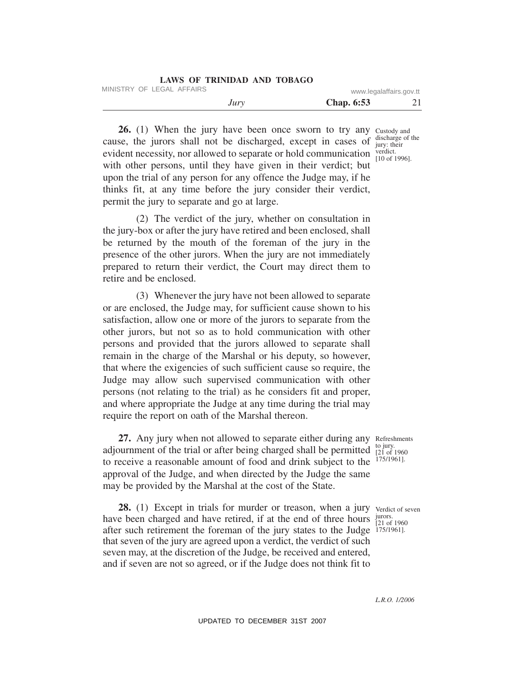| <b>LAWS OF TRINIDAD AND TOBAGO</b> |                         |    |
|------------------------------------|-------------------------|----|
| MINISTRY OF LEGAL AFFAIRS          | www.legalaffairs.gov.tt |    |
| Jury                               | <b>Chap.</b> 6:53       | 21 |

26. (1) When the jury have been once sworn to try any custody and discharge of the jury: their verdict. evident necessity, nor allowed to separate or hold communication  $_{[10 \text{ of } 1996]}^{vert.}$ cause, the jurors shall not be discharged, except in cases of with other persons, until they have given in their verdict; but upon the trial of any person for any offence the Judge may, if he thinks fit, at any time before the jury consider their verdict, permit the jury to separate and go at large.

(2) The verdict of the jury, whether on consultation in the jury-box or after the jury have retired and been enclosed, shall be returned by the mouth of the foreman of the jury in the presence of the other jurors. When the jury are not immediately prepared to return their verdict, the Court may direct them to retire and be enclosed.

(3) Whenever the jury have not been allowed to separate or are enclosed, the Judge may, for sufficient cause shown to his satisfaction, allow one or more of the jurors to separate from the other jurors, but not so as to hold communication with other persons and provided that the jurors allowed to separate shall remain in the charge of the Marshal or his deputy, so however, that where the exigencies of such sufficient cause so require, the Judge may allow such supervised communication with other persons (not relating to the trial) as he considers fit and proper, and where appropriate the Judge at any time during the trial may require the report on oath of the Marshal thereon.

27. Any jury when not allowed to separate either during any Refreshments adjournment of the trial or after being charged shall be permitted  $\frac{10 \text{ Jup}}{21 \text{ of } 1960}$ to receive a reasonable amount of food and drink subject to the approval of the Judge, and when directed by the Judge the same may be provided by the Marshal at the cost of the State.

28. (1) Except in trials for murder or treason, when a jury verdict of seven have been charged and have retired, if at the end of three hours  $\frac{\text{juros}}{\text{f21 of}}$ after such retirement the foreman of the jury states to the Judge 175/1961]. that seven of the jury are agreed upon a verdict, the verdict of such seven may, at the discretion of the Judge, be received and entered, and if seven are not so agreed, or if the Judge does not think fit to

to jury. 175/1961].

 $\frac{1}{21}$  of 1960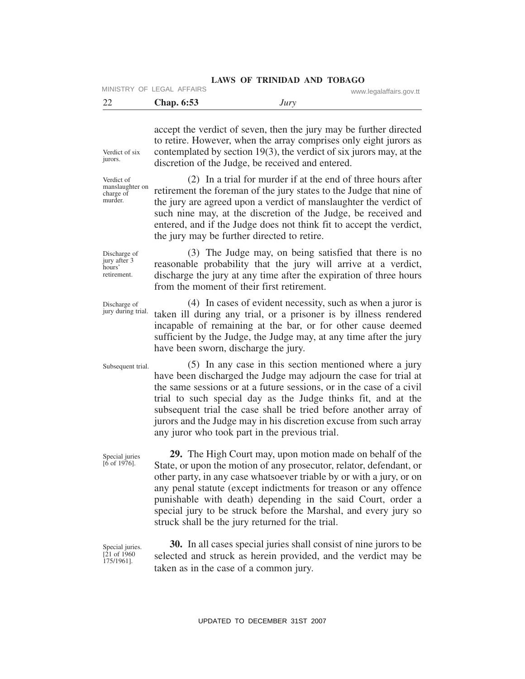accept the verdict of seven, then the jury may be further directed to retire. However, when the array comprises only eight jurors as contemplated by section 19(3), the verdict of six jurors may, at the

22 **Chap. 6:53** *Jury* MINISTRY OF LEGAL AFFAIRS www.legalaffairs.gov.tt

discretion of the Judge, be received and entered.

Verdict of six jurors.

Verdict of manslaughter on charge of murder.

(2) In a trial for murder if at the end of three hours after retirement the foreman of the jury states to the Judge that nine of the jury are agreed upon a verdict of manslaughter the verdict of such nine may, at the discretion of the Judge, be received and entered, and if the Judge does not think fit to accept the verdict, the jury may be further directed to retire.

Discharge of jury after 3 hours' retirement.

(3) The Judge may, on being satisfied that there is no reasonable probability that the jury will arrive at a verdict, discharge the jury at any time after the expiration of three hours from the moment of their first retirement.

(4) In cases of evident necessity, such as when a juror is taken ill during any trial, or a prisoner is by illness rendered incapable of remaining at the bar, or for other cause deemed Discharge of jury during trial.

have been sworn, discharge the jury.

Subsequent trial.

(5) In any case in this section mentioned where a jury have been discharged the Judge may adjourn the case for trial at the same sessions or at a future sessions, or in the case of a civil trial to such special day as the Judge thinks fit, and at the subsequent trial the case shall be tried before another array of jurors and the Judge may in his discretion excuse from such array any juror who took part in the previous trial.

sufficient by the Judge, the Judge may, at any time after the jury

**29.** The High Court may, upon motion made on behalf of the State, or upon the motion of any prosecutor, relator, defendant, or other party, in any case whatsoever triable by or with a jury, or on any penal statute (except indictments for treason or any offence punishable with death) depending in the said Court, order a special jury to be struck before the Marshal, and every jury so struck shall be the jury returned for the trial.

Special juries. [21 of 1960 175/1961].

Special juries [6 of 1976].

> **30.** In all cases special juries shall consist of nine jurors to be selected and struck as herein provided, and the verdict may be taken as in the case of a common jury.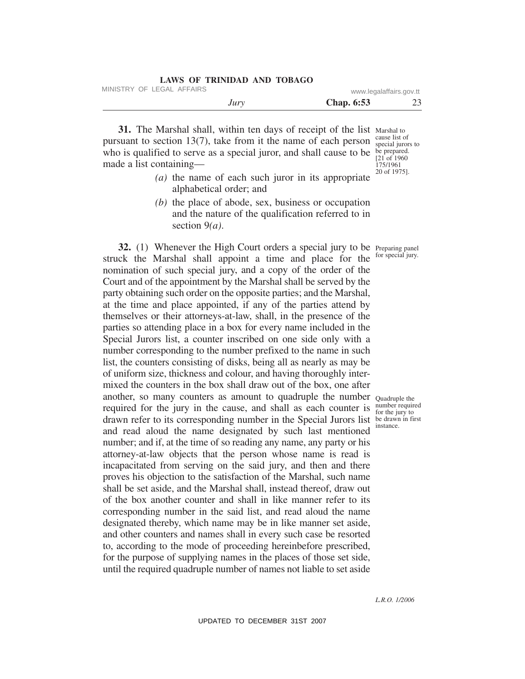| LAWS OF TRINIDAD AND TOBAGO |                         |    |
|-----------------------------|-------------------------|----|
| MINISTRY OF LEGAL AFFAIRS   | www.legalaffairs.gov.tt |    |
| Jury                        | <b>Chap.</b> 6:53       | 23 |

**31.** The Marshal shall, within ten days of receipt of the list Marshal to pursuant to section 13(7), take from it the name of each person who is qualified to serve as a special juror, and shall cause to be be prepared. made a list containing—

cause list of special jurors to  $[21$  of 1960 175/1961 20 of 1975].

- *(a)* the name of each such juror in its appropriate alphabetical order; and
- *(b)* the place of abode, sex, business or occupation and the nature of the qualification referred to in section 9*(a)*.

**32.** (1) Whenever the High Court orders a special jury to be Preparing panel struck the Marshal shall appoint a time and place for the nomination of such special jury, and a copy of the order of the Court and of the appointment by the Marshal shall be served by the party obtaining such order on the opposite parties; and the Marshal, at the time and place appointed, if any of the parties attend by themselves or their attorneys-at-law, shall, in the presence of the parties so attending place in a box for every name included in the Special Jurors list, a counter inscribed on one side only with a number corresponding to the number prefixed to the name in such list, the counters consisting of disks, being all as nearly as may be of uniform size, thickness and colour, and having thoroughly intermixed the counters in the box shall draw out of the box, one after another, so many counters as amount to quadruple the number Quadruple the required for the jury in the cause, and shall as each counter is drawn refer to its corresponding number in the Special Jurors list be drawn in first and read aloud the name designated by such last mentioned number; and if, at the time of so reading any name, any party or his attorney-at-law objects that the person whose name is read is incapacitated from serving on the said jury, and then and there proves his objection to the satisfaction of the Marshal, such name shall be set aside, and the Marshal shall, instead thereof, draw out of the box another counter and shall in like manner refer to its corresponding number in the said list, and read aloud the name designated thereby, which name may be in like manner set aside, and other counters and names shall in every such case be resorted to, according to the mode of proceeding hereinbefore prescribed, for the purpose of supplying names in the places of those set side, until the required quadruple number of names not liable to set aside

for special jury.

number required for the jury to instance.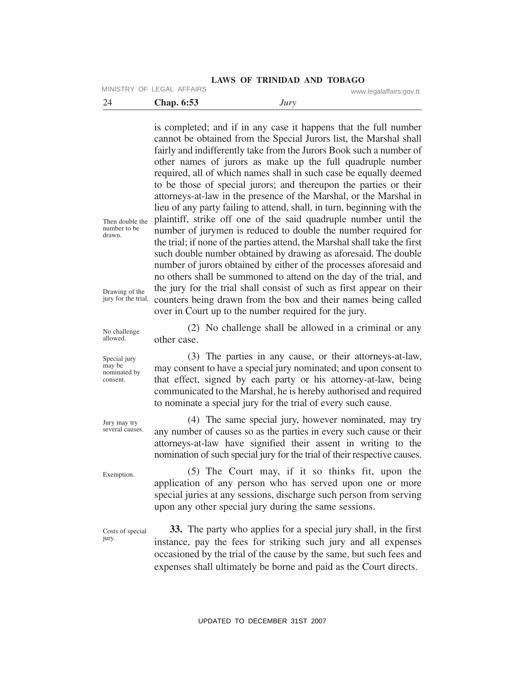MINISTRY OF LEGAL AFFAIRS www.legalaffairs.gov.tt

| -24 | <b>Chap. 6:53</b> | Jury |  |
|-----|-------------------|------|--|
|-----|-------------------|------|--|

is completed; and if in any case it happens that the full number cannot be obtained from the Special Jurors list, the Marshal shall fairly and indifferently take from the Jurors Book such a number of other names of jurors as make up the full quadruple number required, all of which names shall in such case be equally deemed to be those of special jurors; and thereupon the parties or their attorneys-at-law in the presence of the Marshal, or the Marshal in lieu of any party failing to attend, shall, in turn, beginning with the plaintiff, strike off one of the said quadruple number until the number of jurymen is reduced to double the number required for the trial; if none of the parties attend, the Marshal shall take the first such double number obtained by drawing as aforesaid. The double number of jurors obtained by either of the processes aforesaid and no others shall be summoned to attend on the day of the trial, and the jury for the trial shall consist of such as first appear on their counters being drawn from the box and their names being called over in Court up to the number required for the jury.

Then double the number to be drawn.

Drawing of the jury for the trial.

No challenge allowed.

Special jury may be nominated by consent.

(2) No challenge shall be allowed in a criminal or any other case.

(3) The parties in any cause, or their attorneys-at-law, may consent to have a special jury nominated; and upon consent to that effect, signed by each party or his attorney-at-law, being communicated to the Marshal, he is hereby authorised and required to nominate a special jury for the trial of every such cause.

(4) The same special jury, however nominated, may try any number of causes so as the parties in every such cause or their attorneys-at-law have signified their assent in writing to the nomination of such special jury for the trial of their respective causes.

Exemption.

Jury may try several causes.

> (5) The Court may, if it so thinks fit, upon the application of any person who has served upon one or more special juries at any sessions, discharge such person from serving upon any other special jury during the same sessions.

Costs of special jury.

**33.** The party who applies for a special jury shall, in the first instance, pay the fees for striking such jury and all expenses occasioned by the trial of the cause by the same, but such fees and expenses shall ultimately be borne and paid as the Court directs.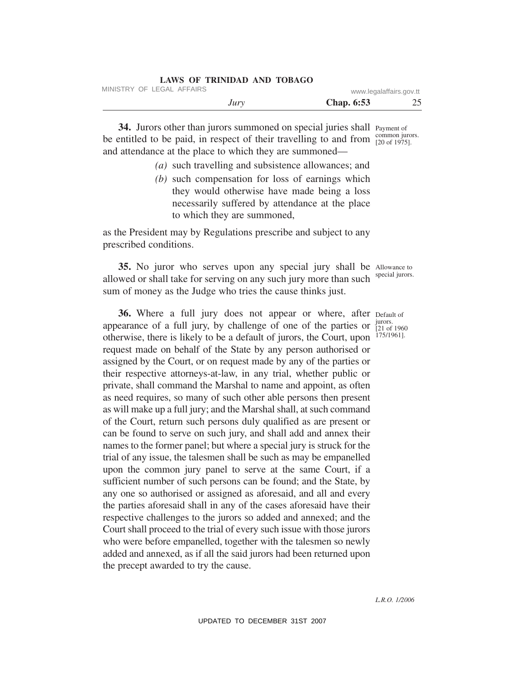| LAWS OF TRINIDAD AND TOBAGO |                         |    |
|-----------------------------|-------------------------|----|
| MINISTRY OF LEGAL AFFAIRS   | www.legalaffairs.gov.tt |    |
| Jury                        | <b>Chap.</b> 6:53       | 25 |

34. Jurors other than jurors summoned on special juries shall Payment of be entitled to be paid, in respect of their travelling to and from  $\frac{\text{common juros}}{\text{[20 of 1975]}}$ . and attendance at the place to which they are summoned— [20 of 1975].

- *(a)* such travelling and subsistence allowances; and
- *(b)* such compensation for loss of earnings which they would otherwise have made being a loss necessarily suffered by attendance at the place to which they are summoned,

as the President may by Regulations prescribe and subject to any prescribed conditions.

**35.** No juror who serves upon any special jury shall be Allowance to allowed or shall take for serving on any such jury more than such sum of money as the Judge who tries the cause thinks just.

36. Where a full jury does not appear or where, after Default of appearance of a full jury, by challenge of one of the parties or otherwise, there is likely to be a default of jurors, the Court, upon request made on behalf of the State by any person authorised or assigned by the Court, or on request made by any of the parties or their respective attorneys-at-law, in any trial, whether public or private, shall command the Marshal to name and appoint, as often as need requires, so many of such other able persons then present as will make up a full jury; and the Marshal shall, at such command of the Court, return such persons duly qualified as are present or can be found to serve on such jury, and shall add and annex their names to the former panel; but where a special jury is struck for the trial of any issue, the talesmen shall be such as may be empanelled upon the common jury panel to serve at the same Court, if a sufficient number of such persons can be found; and the State, by any one so authorised or assigned as aforesaid, and all and every the parties aforesaid shall in any of the cases aforesaid have their respective challenges to the jurors so added and annexed; and the Court shall proceed to the trial of every such issue with those jurors who were before empanelled, together with the talesmen so newly added and annexed, as if all the said jurors had been returned upon the precept awarded to try the cause.

special jurors.

jurors. [21 of 1960 175/1961].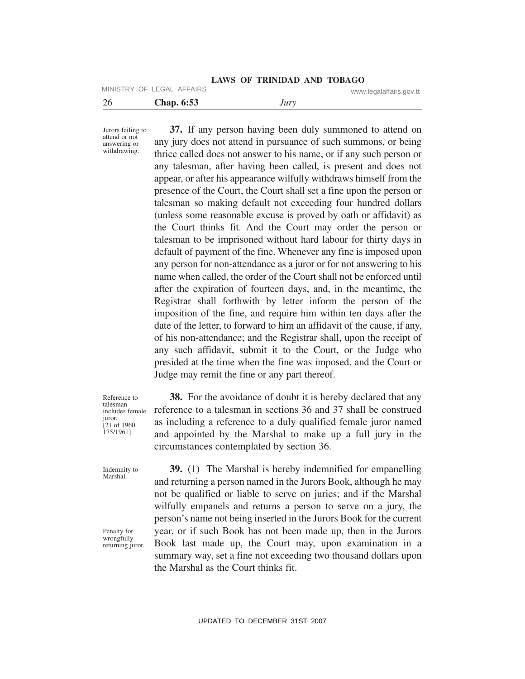MINISTRY OF LEGAL AFFAIRS www.legalaffairs.gov.tt

| ∼<br>$\sim$ | .52<br><b>Chap. 6:53</b> | Jul |  |
|-------------|--------------------------|-----|--|
|             |                          |     |  |

Jurors failing to attend or not answering or withdrawing.

**37.** If any person having been duly summoned to attend on any jury does not attend in pursuance of such summons, or being thrice called does not answer to his name, or if any such person or any talesman, after having been called, is present and does not appear, or after his appearance wilfully withdraws himself from the presence of the Court, the Court shall set a fine upon the person or talesman so making default not exceeding four hundred dollars (unless some reasonable excuse is proved by oath or affidavit) as the Court thinks fit. And the Court may order the person or talesman to be imprisoned without hard labour for thirty days in default of payment of the fine. Whenever any fine is imposed upon any person for non-attendance as a juror or for not answering to his name when called, the order of the Court shall not be enforced until after the expiration of fourteen days, and, in the meantime, the Registrar shall forthwith by letter inform the person of the imposition of the fine, and require him within ten days after the date of the letter, to forward to him an affidavit of the cause, if any, of his non-attendance; and the Registrar shall, upon the receipt of any such affidavit, submit it to the Court, or the Judge who presided at the time when the fine was imposed, and the Court or Judge may remit the fine or any part thereof.

Reference to talesman includes female juror. [21 of 1960 175/1961].

Indemnity to Marshal.

Penalty for wrongfully returning juror.

**38.** For the avoidance of doubt it is hereby declared that any reference to a talesman in sections 36 and 37 shall be construed as including a reference to a duly qualified female juror named and appointed by the Marshal to make up a full jury in the circumstances contemplated by section 36.

**39.** (1) The Marshal is hereby indemnified for empanelling and returning a person named in the Jurors Book, although he may not be qualified or liable to serve on juries; and if the Marshal wilfully empanels and returns a person to serve on a jury, the person's name not being inserted in the Jurors Book for the current year, or if such Book has not been made up, then in the Jurors Book last made up, the Court may, upon examination in a summary way, set a fine not exceeding two thousand dollars upon the Marshal as the Court thinks fit.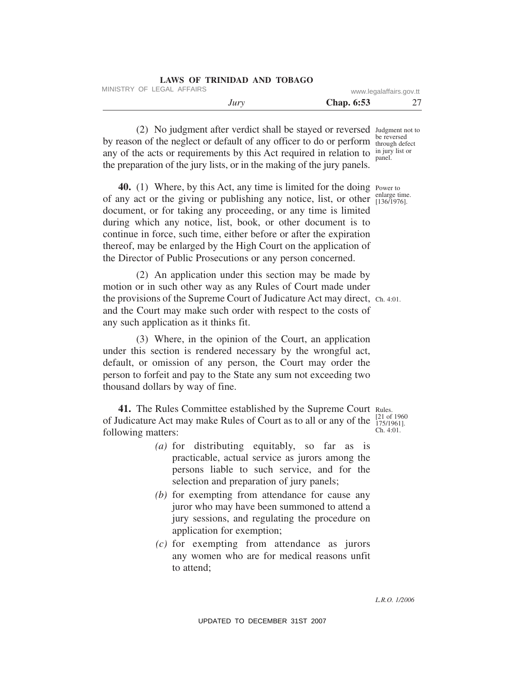| LAWS OF TRINIDAD AND TOBAGO |                         |  |
|-----------------------------|-------------------------|--|
| MINISTRY OF LEGAL AFFAIRS   | www.legalaffairs.gov.tt |  |
| Jury                        | <b>Chap.</b> 6:53       |  |

(2) No judgment after verdict shall be stayed or reversed Judgment not to by reason of the neglect or default of any officer to do or perform be reversed any of the acts or requirements by this Act required in relation to  $\frac{in \text{ jury}}{name}$  list or the preparation of the jury lists, or in the making of the jury panels. panel.

**40.** (1) Where, by this Act, any time is limited for the doing Power to of any act or the giving or publishing any notice, list, or other  $\frac{\text{enlarge time}}{[136/1976]}$ . document, or for taking any proceeding, or any time is limited during which any notice, list, book, or other document is to continue in force, such time, either before or after the expiration thereof, may be enlarged by the High Court on the application of the Director of Public Prosecutions or any person concerned. [136/1976].

(2) An application under this section may be made by motion or in such other way as any Rules of Court made under the provisions of the Supreme Court of Judicature Act may direct, Ch. 4:01. and the Court may make such order with respect to the costs of any such application as it thinks fit.

(3) Where, in the opinion of the Court, an application under this section is rendered necessary by the wrongful act, default, or omission of any person, the Court may order the person to forfeit and pay to the State any sum not exceeding two thousand dollars by way of fine.

41. The Rules Committee established by the Supreme Court Rules. of Judicature Act may make Rules of Court as to all or any of the  $\frac{[21 \text{ of } 1960]}{175/19611}$ following matters:

- *(a)* for distributing equitably, so far as is practicable, actual service as jurors among the persons liable to such service, and for the selection and preparation of jury panels;
- *(b)* for exempting from attendance for cause any juror who may have been summoned to attend a jury sessions, and regulating the procedure on application for exemption;
- *(c)* for exempting from attendance as jurors any women who are for medical reasons unfit to attend;

175/1961]. Ch. 4:01.

*L.R.O. 1/2006*

through defect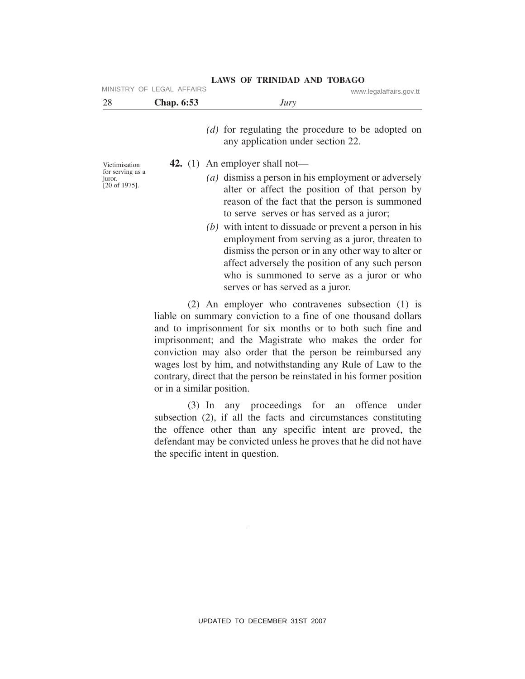| MINISTRY OF LEGAL AFFAIRS                               |            | www.legalaffairs.gov.tt                                                                                                                                                                                                                                                                                 |
|---------------------------------------------------------|------------|---------------------------------------------------------------------------------------------------------------------------------------------------------------------------------------------------------------------------------------------------------------------------------------------------------|
| 28                                                      | Chap. 6:53 | Jury                                                                                                                                                                                                                                                                                                    |
|                                                         |            | (d) for regulating the procedure to be adopted on<br>any application under section 22.                                                                                                                                                                                                                  |
| Victimisation                                           |            | 42. (1) An employer shall not—                                                                                                                                                                                                                                                                          |
| for serving as a<br>juror.<br>$[20 \text{ of } 1975]$ . |            | (a) dismiss a person in his employment or adversely<br>alter or affect the position of that person by<br>reason of the fact that the person is summoned<br>to serve serves or has served as a juror;                                                                                                    |
|                                                         |            | $(b)$ with intent to dissuade or prevent a person in his<br>employment from serving as a juror, threaten to<br>dismiss the person or in any other way to alter or<br>affect adversely the position of any such person<br>who is summoned to serve as a juror or who<br>serves or has served as a juror. |
|                                                         |            | (2) An employer who contravenes subsection (1) is<br>liable on summary conviction to a fine of one thousand dollars<br>and to imprisonment for six months or to both such fine and<br>imprisonment: and the Magistrate who makes the order for                                                          |

imprisonment; and the Magistrate who makes the order for conviction may also order that the person be reimbursed any wages lost by him, and notwithstanding any Rule of Law to the contrary, direct that the person be reinstated in his former position or in a similar position.

(3) In any proceedings for an offence under subsection (2), if all the facts and circumstances constituting the offence other than any specific intent are proved, the defendant may be convicted unless he proves that he did not have the specific intent in question.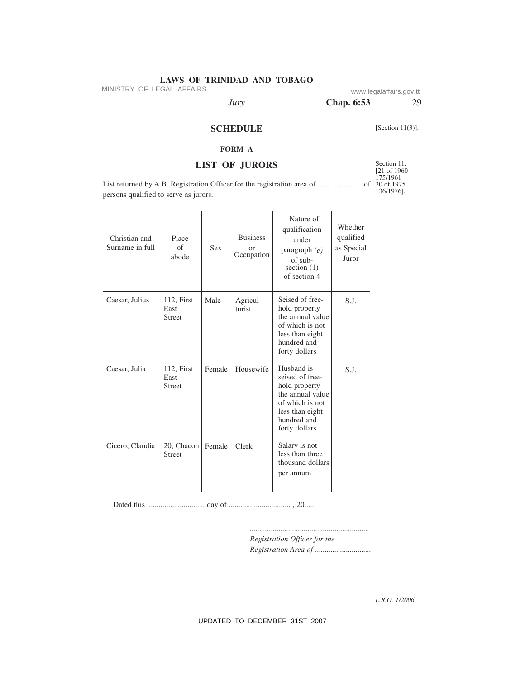MINISTRY OF LEGAL AFFAIRS www.legalaffairs.gov.tt

persons qualified to serve as jurors.

*Jury* **Chap. 6:53** 29

# **SCHEDULE**

[Section 11(3)].

# **FORM A**

# **LIST OF JURORS**

List returned by A.B. Registration Officer for the registration area of ....................... of

Section 11. [21 of 1960 175/1961 20 of 1975 136/1976].

| Christian and<br>Surname in full | Place<br>$\sigma$ f<br>abode        | Sex    | <b>Business</b><br>or<br>Occupation | Nature of<br>qualification<br>under<br>paragraph (e)<br>of sub-<br>section $(1)$<br>of section 4                                         | Whether<br>qualified<br>as Special<br>Juror |
|----------------------------------|-------------------------------------|--------|-------------------------------------|------------------------------------------------------------------------------------------------------------------------------------------|---------------------------------------------|
| Caesar, Julius                   | 112, First<br>East<br><b>Street</b> | Male   | Agricul-<br>turist                  | Seised of free-<br>hold property<br>the annual value<br>of which is not<br>less than eight<br>hundred and<br>forty dollars               | S.J.                                        |
| Caesar, Julia                    | 112, First<br>East<br><b>Street</b> | Female | Housewife                           | Husband is<br>seised of free-<br>hold property<br>the annual value<br>of which is not<br>less than eight<br>hundred and<br>forty dollars | S.J.                                        |
| Cicero, Claudia                  | 20, Chacon<br><b>Street</b>         | Female | Clerk                               | Salary is not<br>less than three<br>thousand dollars<br>per annum                                                                        |                                             |

Dated this .............................. day of ................................ , 20......

*Registration Officer for the Registration Area of* .............................

*..............................................................*

*L.R.O. 1/2006*

UPDATED TO DECEMBER 31ST 2007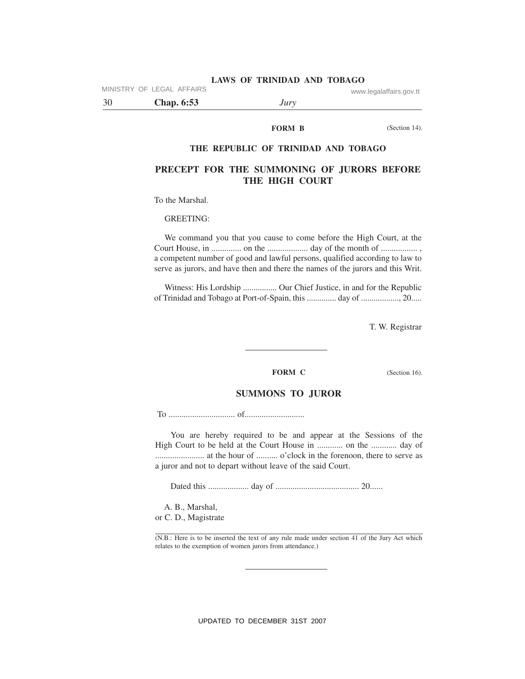MINISTRY OF LEGAL AFFAIRS www.legalaffairs.gov.tt

30 **Chap. 6:53** *Jury*

#### **FORM B**

(Section 14).

#### **THE REPUBLIC OF TRINIDAD AND TOBAGO**

# **PRECEPT FOR THE SUMMONING OF JURORS BEFORE THE HIGH COURT**

To the Marshal.

GREETING:

We command you that you cause to come before the High Court, at the Court House, in .............. on the ................... day of the month of ................. , a competent number of good and lawful persons, qualified according to law to serve as jurors, and have then and there the names of the jurors and this Writ.

Witness: His Lordship ................ Our Chief Justice, in and for the Republic of Trinidad and Tobago at Port-of-Spain, this .............. day of .................., 20.....

T. W. Registrar

#### **FORM C** (Section 16).

### **SUMMONS TO JUROR**

To ............................... of............................

You are hereby required to be and appear at the Sessions of the High Court to be held at the Court House in ............ on the ............ day of ....................... at the hour of .......... o'clock in the forenoon, there to serve as a juror and not to depart without leave of the said Court.

Dated this ................... day of ....................................... 20......

A. B., Marshal, or C. D., Magistrate

(N.B.: Here is to be inserted the text of any rule made under section 41 of the Jury Act which relates to the exemption of women jurors from attendance.)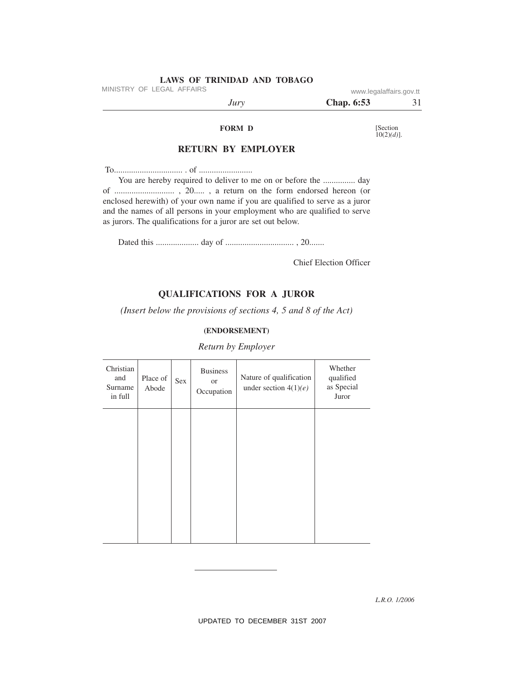MINISTRY OF LEGAL AFFAIRS www.legalaffairs.gov.tt

| $J^{\mu}V^{\nu}$ | $\overline{\phantom{0}}$<br>Chap. 6:53 | . . |
|------------------|----------------------------------------|-----|
|                  |                                        |     |

#### **FORM D**

[Section 10(2)*(d)*].

# **RETURN BY EMPLOYER**

To................................ . of .........................

You are hereby required to deliver to me on or before the ................ day of ............................ , 20..... , a return on the form endorsed hereon (or enclosed herewith) of your own name if you are qualified to serve as a juror and the names of all persons in your employment who are qualified to serve as jurors. The qualifications for a juror are set out below.

Dated this .................... day of ................................ , 20.......

Chief Election Officer

# **QUALIFICATIONS FOR A JUROR**

*(Insert below the provisions of sections 4, 5 and 8 of the Act)*

#### **(ENDORSEMENT)**

#### *Return by Employer*

| Christian<br>and<br>Surname<br>in full | Place of<br>Abode | Sex | <b>Business</b><br><b>or</b><br>Occupation | Nature of qualification<br>under section $4(1)(e)$ | Whether<br>qualified<br>as Special<br>Juror |
|----------------------------------------|-------------------|-----|--------------------------------------------|----------------------------------------------------|---------------------------------------------|
|                                        |                   |     |                                            |                                                    |                                             |
|                                        |                   |     |                                            |                                                    |                                             |
|                                        |                   |     |                                            |                                                    |                                             |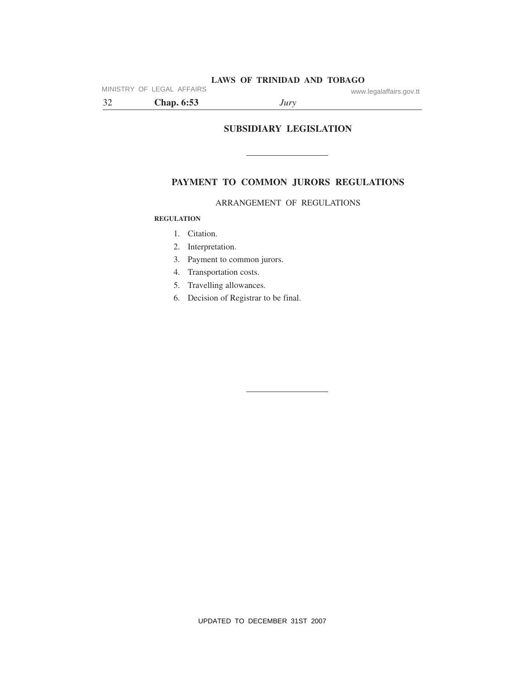MINISTRY OF LEGAL AFFAIRS www.legalaffairs.gov.tt

32 **Chap. 6:53** *Jury*

**SUBSIDIARY LEGISLATION**

# **PAYMENT TO COMMON JURORS REGULATIONS**

# ARRANGEMENT OF REGULATIONS

### **REGULATION**

- 1. Citation.
- 2. Interpretation.
- 3. Payment to common jurors.
- 4. Transportation costs.
- 5. Travelling allowances.
- 6. Decision of Registrar to be final.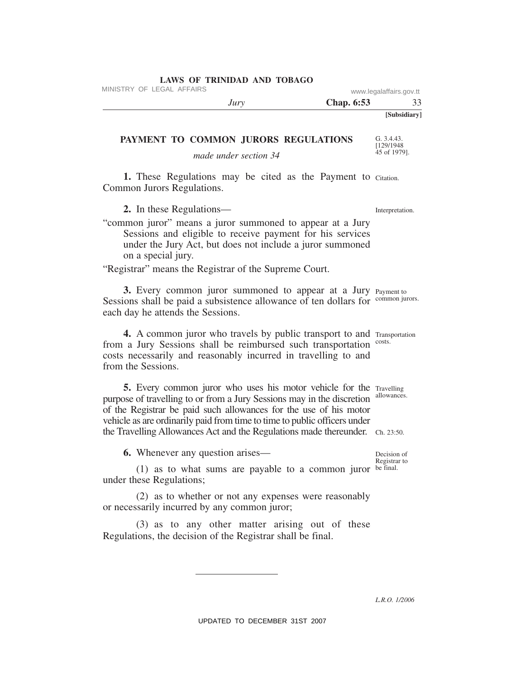MINISTRY OF LEGAL AFFAIRS www.legalaffairs.gov.tt

|              | Chap. 6:53 | $JU\Gamma V$ |
|--------------|------------|--------------|
| [Subsidiary] |            |              |

#### **PAYMENT TO COMMON JURORS REGULATIONS**

*made under section 34*

1. These Regulations may be cited as the Payment to Citation. Common Jurors Regulations.

**2.** In these Regulations—

"common juror" means a juror summoned to appear at a Jury Sessions and eligible to receive payment for his services under the Jury Act, but does not include a juror summoned on a special jury.

"Registrar" means the Registrar of the Supreme Court.

3. Every common juror summoned to appear at a Jury Payment to Sessions shall be paid a subsistence allowance of ten dollars for common jurors. each day he attends the Sessions.

4. A common juror who travels by public transport to and Transportation from a Jury Sessions shall be reimbursed such transportation costs. costs necessarily and reasonably incurred in travelling to and from the Sessions.

5. Every common juror who uses his motor vehicle for the Travelling purpose of travelling to or from a Jury Sessions may in the discretion allowances. the Travelling Allowances Act and the Regulations made thereunder. Ch. 23:50. of the Registrar be paid such allowances for the use of his motor vehicle as are ordinarily paid from time to time to public officers under

**6.** Whenever any question arises—

 $(1)$  as to what sums are payable to a common juror be final. under these Regulations;

(2) as to whether or not any expenses were reasonably or necessarily incurred by any common juror;

(3) as to any other matter arising out of these Regulations, the decision of the Registrar shall be final.

Interpretation.

G. 3.4.43. [129/1948 45 of 1979].

Decision of Registrar to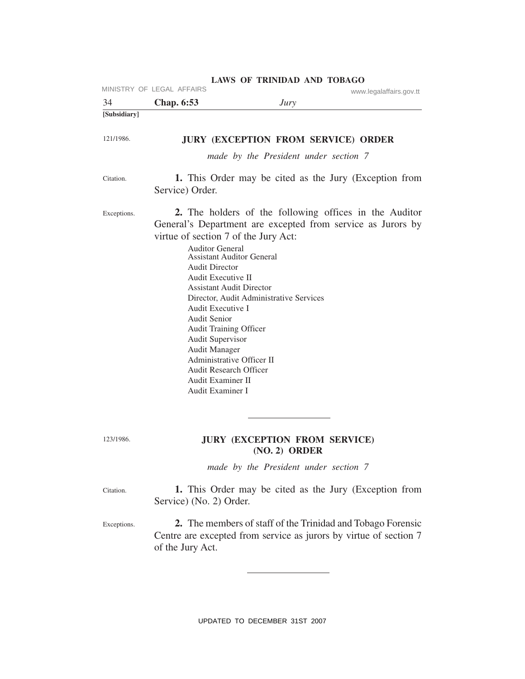| 34           | MINISTRY OF LEGAL AFFAIRS<br><b>Chap.</b> 6:53                                                                                                                                                                                                                                                                                                                                                                       | Jury                                                                                | www.legalaffairs.gov.tt                                                                                                          |
|--------------|----------------------------------------------------------------------------------------------------------------------------------------------------------------------------------------------------------------------------------------------------------------------------------------------------------------------------------------------------------------------------------------------------------------------|-------------------------------------------------------------------------------------|----------------------------------------------------------------------------------------------------------------------------------|
| [Subsidiary] |                                                                                                                                                                                                                                                                                                                                                                                                                      |                                                                                     |                                                                                                                                  |
| 121/1986.    |                                                                                                                                                                                                                                                                                                                                                                                                                      | <b>JURY (EXCEPTION FROM SERVICE) ORDER</b><br>made by the President under section 7 |                                                                                                                                  |
| Citation.    | Service) Order.                                                                                                                                                                                                                                                                                                                                                                                                      |                                                                                     | 1. This Order may be cited as the Jury (Exception from                                                                           |
| Exceptions.  | virtue of section 7 of the Jury Act:<br><b>Auditor General</b><br><b>Assistant Auditor General</b><br><b>Audit Director</b><br>Audit Executive II<br><b>Assistant Audit Director</b><br>Audit Executive I<br><b>Audit Senior</b><br><b>Audit Training Officer</b><br>Audit Supervisor<br><b>Audit Manager</b><br>Administrative Officer II<br><b>Audit Research Officer</b><br>Audit Examiner II<br>Audit Examiner I | Director, Audit Administrative Services                                             | 2. The holders of the following offices in the Auditor<br>General's Department are excepted from service as Jurors by            |
| 123/1986.    |                                                                                                                                                                                                                                                                                                                                                                                                                      | <b>JURY (EXCEPTION FROM SERVICE)</b><br>$(NO. 2)$ ORDER                             |                                                                                                                                  |
|              |                                                                                                                                                                                                                                                                                                                                                                                                                      | made by the President under section 7                                               |                                                                                                                                  |
| Citation.    | Service) (No. 2) Order.                                                                                                                                                                                                                                                                                                                                                                                              |                                                                                     | 1. This Order may be cited as the Jury (Exception from                                                                           |
| Exceptions.  | of the Jury Act.                                                                                                                                                                                                                                                                                                                                                                                                     |                                                                                     | 2. The members of staff of the Trinidad and Tobago Forensic<br>Centre are excepted from service as jurors by virtue of section 7 |
|              |                                                                                                                                                                                                                                                                                                                                                                                                                      |                                                                                     |                                                                                                                                  |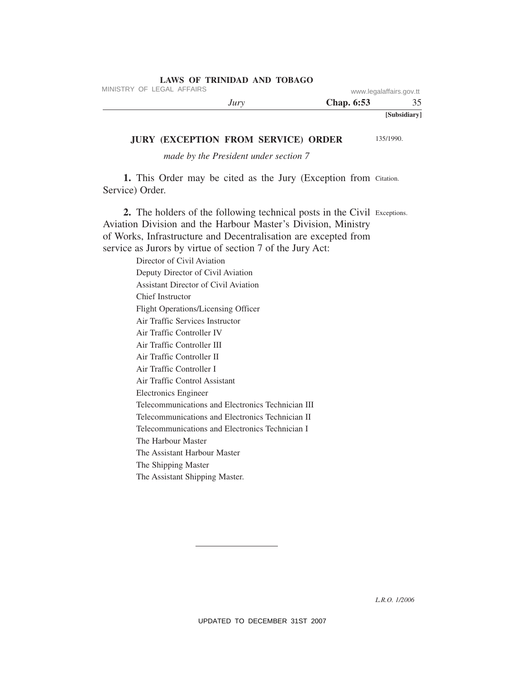MINISTRY OF LEGAL AFFAIRS www.legalaffairs.gov.tt

| $J^{\mu}$ | Chap. 6:53 |              |
|-----------|------------|--------------|
|           |            | [Subsidiary] |

#### **JURY (EXCEPTION FROM SERVICE) ORDER**

135/1990.

*made by the President under section 7* 

1. This Order may be cited as the Jury (Exception from Citation. Service) Order.

2. The holders of the following technical posts in the Civil Exceptions. Aviation Division and the Harbour Master's Division, Ministry of Works, Infrastructure and Decentralisation are excepted from service as Jurors by virtue of section 7 of the Jury Act:

> Director of Civil Aviation Deputy Director of Civil Aviation Assistant Director of Civil Aviation Chief Instructor Flight Operations/Licensing Officer Air Traffic Services Instructor Air Traffic Controller IV Air Traffic Controller III Air Traffic Controller II Air Traffic Controller I Air Traffic Control Assistant Electronics Engineer Telecommunications and Electronics Technician III Telecommunications and Electronics Technician II Telecommunications and Electronics Technician I The Harbour Master The Assistant Harbour Master The Shipping Master The Assistant Shipping Master.